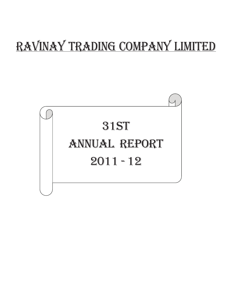# Ravinay Trading Company Limited

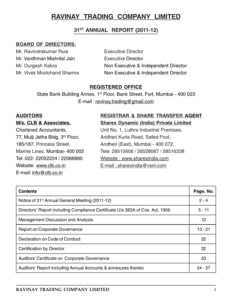# 31<sup>ST</sup> ANNUAL REPORT (2011-12)

# BOARD OF DIRECTORS:

Mr. Ravindrakumar Ruia **Executive Director** Mr. Vardhman Mishrilal Jain Executive Director

Mr. Durgesh Kabra Non Executive & Independent Director Mr. Vivek Moolchand Sharma Non Executive & Independent Director

# REGISTERED OFFICE

State Bank Building Annex, 1<sup>st</sup> Floor, Bank Street, Fort, Mumbai - 400 023 E-mail : ravinay.trading@gmail.com

Website: www.clb.co.in E-mail : sharexindia@vsnl.com E-mail: info@clb.co.in

# AUDITORS REGISTRAR & SHARE TRANSFER AGENT M/s. CLB & Associates, Sharex Dynamic (India) Private Limited

Chartered Accountants, Unit No. 1, Luthra Industrial Premises, 77, Mulji Jetha Bldg, 3<sup>rd</sup> Floor, Andheri Kurla Road, Safed Pool, 185/187, Princess Street, Andheri (East), Mumbai - 400 072. Marine Lines, Mumbai- 400 002 Tele: 28515606 / 28528087 / 28516338 Tel: 022- 22052224 / 22066860 Website : www.sharexindia.com

| <b>Contents</b>                                                               | Page. No. |
|-------------------------------------------------------------------------------|-----------|
| Notice of 31 <sup>st</sup> Annual General Meeting (2011-12)                   | $2 - 4$   |
| Directors' Report including Compliance Certificate U/s 383A of Cos. Act, 1956 | $5 - 11$  |
| <b>Management Discussion and Analysis</b>                                     | 12        |
| Report on Corporate Governance                                                | $13 - 21$ |
| Declaration on Code of Conduct                                                | 22        |
| Certification by Director                                                     | 22        |
| Auditors' Certificate on Corporate Governance                                 | 23        |
| Auditors' Report including Annual Accounts & annexures thereto                | $24 - 37$ |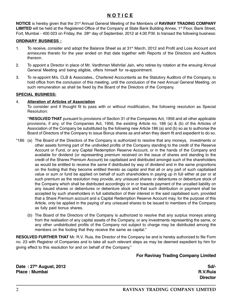# N O T I C E

NOTICE is hereby given that the 31<sup>st</sup> Annual General Meeting of the Members of RAVINAY TRADING COMPANY LIMITED will be held at the Registered Office of the Company at State Bank Building Annex, 1<sup>st</sup> Floor, Bank Street, Fort, Mumbai - 400 023 on Friday, the 28<sup>th</sup> day of September, 2012 at 4.00 P.M. to transact the following business:

#### ORDINARY BUSINESS :

- 1. To receive, consider and adopt the Balance Sheet as at 31<sup>st</sup> March, 2012 and Profit and Loss Account and annexures thereto for the year ended on that date together with Reports of the Directors and Auditors thereon.
- 2. To appoint a Director in place of Mr. Vardhman Mishrilal Jain, who retires by rotation at the ensuing Annual General Meeting and being eligible, offers himself for re-appointment.
- 3. To re-appoint M/s. CLB & Associates., Chartered Accountants as the Statutory Auditors of the Company, to hold office from the conclusion of this meeting, until the conclusion of the next Annual General Meeting, on such remuneration as shall be fixed by the Board of the Directors of the Company.

#### SPECIAL BUSINESS:

#### 4. Alteration of Articles of Association

To consider and if thought fit to pass with or without modification, the following resolution as Special Resolution:

"RESOLVED THAT pursuant to provisions of Section 31 of the Companies Act, 1956 and all other applicable provisions, if any, of the Companies Act, 1956, the existing Article no. 186 (a) & (b) of the Articles of Association of the Company be substituted by the following new Article 186 (a) and (b) so as to authorise the Board of Directors of the Company to issue Bonus shares as and when they deem fit and expedient to do so.

- "186 (a) The Board of the Directors of the Company is authorized to resolve that any moneys, investments or other assets forming part of the undivided profits of the Company standing to the credit of the Reserve Account or Fund, or any Capital Redemption Reserve Account, or in the hands of the Company and available for dividend (or representing premium received on the issue of shares and standing to the credit of the Shares Premium Account) be capitalised and distributed amongst such of the shareholders as would be entitled to receive the same if distributed by way of dividend and in the same proportions on the footing that they become entitled thereto as capital and that all or any part of such capitalised value or sum or fund be applied on behalf of such shareholders in paying up in full either at par or at such premium as the resolution may provide, any unissued shares or debentures or debenture stock of the Company which shall be distributed accordingly or in or towards payment of the uncalled liability on any issued shares or debentures or debenture stock and that such distribution or payment shall be accepted by such shareholders in full satisfaction of their interest in the said capitalised sum, provided that a Share Premium account and a Capital Redemption Reserve Account may, for the purpose of this Article, only be applied in the paying of any unissued shares to be issued to members of the Company as fully paid bonus shares.
	- (b) The Board of the Directors of the Company is authorized to resolve that any surplus moneys arising from the realisation of any capital assets of the Company, or any investments representing the same, or any other undistributed profits of the Company not subject to charge may be distributed among the members on the footing that they receive the same as capital."

RESOLVED FURTHER THAT Mr. R.V. Ruia, the Director of the Company be and is hereby authorized to file Form no. 23 with Registrar of Companies and to take all such relevant steps as may be deemed expedient by him for giving effect to this resolution for and on behalf of the Company."

#### For Ravinay Trading Company Limited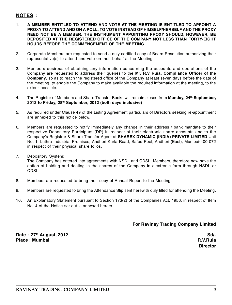# NOTES :

- 1. A MEMBER ENTITLED TO ATTEND AND VOTE AT THE MEETING IS ENTITLED TO APPOINT A PROXY TO ATTEND AND ON A POLL, TO VOTE INSTEAD OF HIMSELF/HERSELF AND THE PROXY NEED NOT BE A MEMBER. THE INSTRUMENT APPOINTING PROXY SHOULD, HOWEVER, BE DEPOSITED AT THE REGISTERED OFFICE OF THE COMPANY NOT LESS THAN FORTY-EIGHT HOURS BEFORE THE COMMENCEMENT OF THE MEETING.
- 2. Corporate Members are requested to send a duly certified copy of Board Resolution authorizing their representative(s) to attend and vote on their behalf at the Meeting.
- 3. Members desirous of obtaining any information concerning the accounts and operations of the Company are requested to address their queries to the Mr. R.V Ruia, Compliance Officer of the Company, so as to reach the registered office of the Company at least seven days before the date of the meeting, to enable the Company to make available the required information at the meeting, to the extent possible.
- 4. The Register of Members and Share Transfer Books will remain closed from Monday, 24<sup>th</sup> September, 2012 to Friday, 28<sup>th</sup> September, 2012 (both days inclusive)
- 5. As required under Clause 49 of the Listing Agreement particulars of Directors seeking re-appointment are annexed to this notice below.
- 6. Members are requested to notify immediately any change in their address / bank mandate to their respective Depository Participant (DP) in respect of their electronic share accounts and to the Company's Registrar & Share Transfer Agent at SHAREX DYNAMIC (INDIA) PRIVATE LIMITED Unit No. 1, Luthra Industrial Premises, Andheri Kurla Road, Safed Pool, Andheri (East), Mumbai-400 072 in respect of their physical share folios.
- 7. Depository System:

The Company has entered into agreements with NSDL and CDSL. Members, therefore now have the option of holding and dealing in the shares of the Company in electronic form through NSDL or CDSL.

- 8. Members are requested to bring their copy of Annual Report to the Meeting.
- 9. Members are requested to bring the Attendance Slip sent herewith duly filled for attending the Meeting.
- 10. An Explanatory Statement pursuant to Section 173(2) of the Companies Act, 1956, in respect of Item No. 4 of the Notice set out is annexed hereto.

#### For Ravinay Trading Company Limited

Date : 27<sup>th</sup> August, 2012 **State 2012** Sd/-Place : Mumbai R.V.Ruia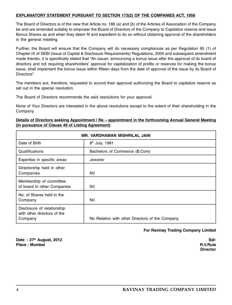#### EXPLANATORY STATEMENT PURSUANT TO SECTION 173(2) OF THE COMPANIES ACT, 1956

The Board of Directors is of the view that Article no. 186 (a) and (b) of the Articles of Association of the Company be and are amended suitably to empower the Board of Directors of the Company to Capitalize reserve and issue Bonus Shares as and when they deem fit and expedient to do so without obtaining approval of the shareholders in the general meeting.

Further, the Board will ensure that the Company will do necessary compliances as per Regulation 95 (1) of Chapter IX of SEBI (Issue of Capital & Disclosure Requirements) Regulations, 2009 and subsequent amendment made thereto, it is specifically stated that "An issuer, announcing a bonus issue after the approval of its board of directors and not requiring shareholders' approval for capitalization of profits or reserves for making the bonus issue, shall implement the bonus issue within fifteen days from the date of approval of the issue by its Board of Directors".

The members are, therefore, requested to accord their approval authorizing the Board to capitalize reserve as set out in the special resolution.

The Board of Directors recommends the said resolutions for your approval.

None of Your Directors are interested in the above resolutions except to the extent of their shareholding in the Company

#### Details of Directors seeking Appointment / Re – appointment in the forthcoming Annual General Meeting (in pursuance of Clause 49 of Listing Agreement)

| <b>MR. VARDHAMAN MISHRILAL JAIN</b>                                  |                                                  |  |  |
|----------------------------------------------------------------------|--------------------------------------------------|--|--|
| Date of Birth                                                        | 8 <sup>th</sup> July, 1981                       |  |  |
| Qualifications                                                       | Bachelors of Commerce (B.Com)                    |  |  |
| Expertise in specific areas                                          | Jeweler                                          |  |  |
| Directorship held in other<br>Companies                              | Nil                                              |  |  |
| Membership of committee<br>of board in other Companies               | Nil                                              |  |  |
| No. of Shares held in the<br>Company                                 | Nil                                              |  |  |
| Disclosure of relationship<br>with other directors of the<br>Company | No Relation with other Directors of the Company. |  |  |

For Ravinay Trading Company Limited

Date : 27<sup>th</sup> August, 2012<br>Place : Mumbai Sd<sup>/-</sup><br>Place : Mumbai State State State State State State State State State State State State State State State State S Place : Mumbai R.V.Ruia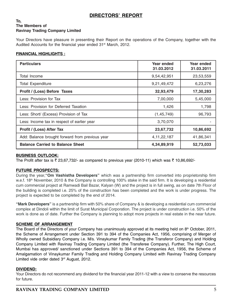# DIRECTORS' REPORT

#### To, The Members of Ravinay Trading Company Limited

Your Directors have pleasure in presenting their Report on the operations of the Company, together with the Audited Accounts for the financial year ended 31<sup>st</sup> March, 2012.

#### FINANCIAL HIGHLIGHTS :

| <b>Particulars</b>                              | Year ended<br>31.03.2012 | Year ended<br>31.03.2011 |
|-------------------------------------------------|--------------------------|--------------------------|
| Total Income                                    | 9,54,42,951              | 23,53,559                |
| <b>Total Expenditure</b>                        | 9,21,49,472              | 6,23,276                 |
| Profit / (Loss) Before Taxes                    | 32,93,479                | 17,30,283                |
| Less: Provision for Tax                         | 7,00,000                 | 5,45,000                 |
| Less: Provision for Deferred Taxation           | 1,426                    | 1,798                    |
| Less: Short/ (Excess) Provision of Tax          | (1,45,749)               | 96,793                   |
| Less: Income tax in respect of earlier year     | 3,70,070                 |                          |
| Profit / (Loss) After Tax                       | 23,67,732                | 10,86,692                |
| Add: Balance brought forward from previous year | 4, 11, 22, 187           | 41,86,341                |
| <b>Balance Carried to Balance Sheet</b>         | 4,34,89,919              | 52,73,033                |

#### BUSINESS OUTLOOK:

The Profit after tax is  $\bar{\tau}$  23,67,732/- as compared to previous year (2010-11) which was  $\bar{\tau}$  10,86,692/-

#### FUTURE PROSPECTS:

During the year, "Om Vashistha Developers" which was a partnership firm converted into proprietorship firm w.e.f. 18<sup>th</sup> November, 2010 & the Company is controlling 100% stake in the said firm. It is developing a residential cum commercial project at Ramwadi Bail Bazar, Kalyan (W) and the project is in full swing, as on date 7th Floor of the building is completed i.e. 25% of the construction has been completed and the work is under progress. The project is expected to be completed by the end of 2014.

"Mark Developers" is a partnership firm with 50% share of Company & is developing a residential cum commercial complex at Dindoli within the limit of Surat Municipal Corporation. The project is under construction i.e. 50% of the work is done as of date. Further the Company is planning to adopt more projects in real estate in the near future.

#### SCHEME OF ARRANGEMENT

The Board of the Directors of your Company has unanimously approved at its meeting held on  $8<sup>th</sup>$  October, 2011, the Scheme of Arrangement under Section 391 to 394 of the Companies Act, 1956, comprising of Merger of Wholly owned Subsidiary Company i.e. M/s. Vinaykumar Family Trading (the Transferor Company) and Holding Company Limited with Ravinay Trading Company Limited (the Transferee Company). Further, The High Court, Mumbai has approved/ sanctioned under Sections 391 to 394 of the Companies Act, 1956, the Scheme of Amalgamation of Vinaykumar Family Trading and Holding Company Limited with Ravinay Trading Company Limited vide order dated 3<sup>rd</sup> August, 2012.

#### DIVIDEND:

Your Directors do not recommend any dividend for the financial year 2011-12 with a view to conserve the resources for future.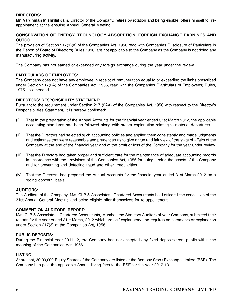#### DIRECTORS:

Mr. Vardhman Mishrilal Jain, Director of the Company, retires by rotation and being eligible, offers himself for reappointment at the ensuing Annual General Meeting.

#### CONSERVATION OF ENERGY, TECHNOLOGY ABSORPTION, FOREIGN EXCHANGE EARNINGS AND OUTGO:

The provision of Section 217(1)(e) of the Companies Act, 1956 read with Companies (Disclosure of Particulars in the Report of Board of Directors) Rules 1998, are not applicable to the Company as the Company is not doing any manufacturing activity.

The Company has not earned or expended any foreign exchange during the year under the review.

#### PARTICULARS OF EMPLOYEES:

The Company does not have any employee in receipt of remuneration equal to or exceeding the limits prescribed under Section 217(2A) of the Companies Act, 1956, read with the Companies (Particulars of Employees) Rules, 1975 as amended.

#### DIRECTORS' RESPONSIBILITY STATEMENT:

Pursuant to the requirement under Section 217 (2AA) of the Companies Act, 1956 with respect to the Director's Responsibilities Statement, it is hereby confirmed:

- (i) That in the preparation of the Annual Accounts for the financial year ended 31st March 2012, the applicable accounting standards had been followed along with proper explanation relating to material departures.
- (ii) That the Directors had selected such accounting policies and applied them consistently and made judgments and estimates that were reasonable and prudent so as to give a true and fair view of the state of affairs of the Company at the end of the financial year and of the profit or loss of the Company for the year under review.
- (iii) That the Directors had taken proper and sufficient care for the maintenance of adequate accounting records in accordance with the provisions of the Companies Act, 1956 for safeguarding the assets of the Company and for preventing and detecting fraud and other irregularities.
- (iv) That the Directors had prepared the Annual Accounts for the financial year ended 31st March 2012 on a 'going concern' basis.

#### AUDITORS:

The Auditors of the Company, M/s. CLB & Associates., Chartered Accountants hold office till the conclusion of the 31st Annual General Meeting and being eligible offer themselves for re-appointment.

#### COMMENT ON AUDITORS' REPORT:

M/s. CLB & Associates., Chartered Accountants, Mumbai, the Statutory Auditors of your Company, submitted their reports for the year ended 31st March, 2012 which are self explanatory and requires no comments or explanation under Section 217(3) of the Companies Act, 1956.

#### PUBLIC DEPOSITS:

During the Financial Year 2011-12, the Company has not accepted any fixed deposits from public within the meaning of the Companies Act, 1956.

#### LISTING:

At present, 30,00,000 Equity Shares of the Company are listed at the Bombay Stock Exchange Limited (BSE). The Company has paid the applicable Annual listing fees to the BSE for the year 2012-13.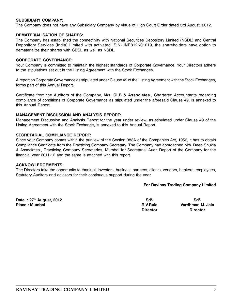#### SUBSIDIARY COMPANY:

The Company does not have any Subsidiary Company by virtue of High Court Order dated 3rd August, 2012.

#### DEMATERIALISATION OF SHARES:

The Company has established the connectivity with National Securities Depository Limited (NSDL) and Central Depository Services (India) Limited with activated ISIN- INE812K01019, the shareholders have option to dematerialize their shares with CDSL as well as NSDL.

#### CORPORATE GOVERNANCE:

Your Company is committed to maintain the highest standards of Corporate Governance. Your Directors adhere to the stipulations set out in the Listing Agreement with the Stock Exchanges.

A report on Corporate Governance as stipulated under Clause 49 of the Listing Agreement with the Stock Exchanges, forms part of this Annual Report.

Certificate from the Auditors of the Company, M/s. CLB & Associates., Chartered Accountants regarding compliance of conditions of Corporate Governance as stipulated under the aforesaid Clause 49, is annexed to this Annual Report.

#### MANAGEMENT DISCUSSION AND ANALYSIS REPORT:

Management Discussion and Analysis Report for the year under review, as stipulated under Clause 49 of the Listing Agreement with the Stock Exchange, is annexed to this Annual Report.

#### SECRETARIAL COMPLIANCE REPORT:

Since your Company comes within the purview of the Section 383A of the Companies Act, 1956, it has to obtain Compliance Certificate from the Practicing Company Secretary. The Company had approached M/s. Deep Shukla & Associates., Practicing Company Secretaries, Mumbai for Secretarial Audit Report of the Company for the financial year 2011-12 and the same is attached with this report.

#### ACKNOWLEDGEMENTS:

The Directors take the opportunity to thank all investors, business partners, clients, vendors, bankers, employees, Statutory Auditors and advisors for their continuous support during the year.

#### For Ravinay Trading Company Limited

Date : 27<sup>th</sup> August, 2012 **Sd/-** Scl/- Sd/- Sd/- Sd/- Sd/- Sd/-Place : Mumbai R.V.Ruia Vardhman M. Jain Director Director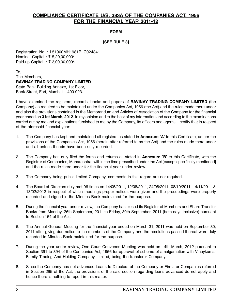# COMPLIANCE CERTIFICATE U/S. 383A OF THE COMPANIES ACT, 1956 FOR THE FINANCIAL YEAR 2011-12

FORM

#### [SEE RULE 3]

Registration No. : L51900MH1981PLC024341 Nominal Capital : ₹ 5,20,00,000/-Paid-up Capital : ₹ 3,00,00,000/-

To, The Members, RAVINAY TRADING COMPANY LIMITED State Bank Building Annexe, 1st Floor, Bank Street, Fort, Mumbai – 400 023.

I have examined the registers, records, books and papers of RAVINAY TRADING COMPANY LIMITED (the Company) as required to be maintained under the Companies Act, 1956 (the Act) and the rules made there under and also the provisions contained in the Memorandum and Articles of Association of the Company for the financial year ended on 31st March, 2012. In my opinion and to the best of my information and according to the examinations carried out by me and explanations furnished to me by the Company, its officers and agents, I certify that in respect of the aforesaid financial year:

- 1. The Company has kept and maintained all registers as stated in **Annexure `A'** to this Certificate, as per the provisions of the Companies Act, 1956 (herein after referred to as the Act) and the rules made there under and all entries therein have been duly recorded.
- 2. The Company has duly filed the forms and returns as stated in **Annexure `B**' to this Certificate, with the Registrar of Companies, Maharashtra, within the time prescribed under the Act [except specifically mentioned] and the rules made there under for the financial year under review.
- 3. The Company being public limited Company, comments in this regard are not required.
- 4. The Board of Directors duly met 06 times on 14/05/2011, 12/08/2011, 24/08/2011, 08/10/2011, 14/11/2011 & 13/02/2012 in respect of which meetings proper notices were given and the proceedings were properly recorded and signed in the Minutes Book maintained for the purpose.
- 5. During the financial year under review, the Company has closed its Register of Members and Share Transfer Books from Monday, 26th September, 2011 to Friday, 30th September, 2011 (both days inclusive) pursuant to Section 154 of the Act.
- 6. The Annual General Meeting for the financial year ended on March 31, 2011 was held on September 30, 2011 after giving due notice to the members of the Company and the resolutions passed thereat were duly recorded in Minutes Book maintained for the purpose.
- 7. During the year under review, One Court Convened Meeting was held on 14th March, 2012 pursuant to Section 391 to 394 of the Companies Act, 1956 for approval of scheme of amalgamation with Vinaykumar Family Trading And Holding Company Limited, being the transferor Company.
- 8. Since the Company has not advanced Loans to Directors of the Company or Firms or Companies referred in Section 295 of the Act, the provisions of the said section regarding loans advanced do not apply and hence there is nothing to report in this matter.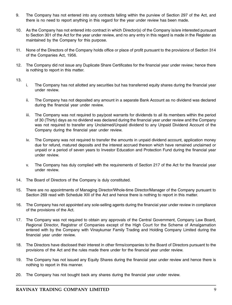- 9. The Company has not entered into any contracts falling within the purview of Section 297 of the Act, and there is no need to report anything in this regard for the year under review has been made.
- 10. As the Company has not entered into contract in which Director(s) of the Company is/are interested pursuant to Section 301 of the Act for the year under review, and no any entry in this regard is made in the Register as maintained by the Company for this purpose.
- 11. None of the Directors of the Company holds office or place of profit pursuant to the provisions of Section 314 of the Companies Act, 1956.
- 12. The Company did not issue any Duplicate Share Certificates for the financial year under review; hence there is nothing to report in this matter.

13.

- i. The Company has not allotted any securities but has transferred equity shares during the financial year under review.
- ii. The Company has not deposited any amount in a separate Bank Account as no dividend was declared during the financial year under review.
- iii. The Company was not required to pay/post warrants for dividends to all its members within the period of 30 (Thirty) days as no dividend was declared during the financial year under review and the Company was not required to transfer any Unclaimed/Unpaid dividend to any Unpaid Dividend Account of the Company during the financial year under review.
- iv. The Company was not required to transfer the amounts in unpaid dividend account, application money due for refund, matured deposits and the interest accrued thereon which have remained unclaimed or unpaid or a period of seven years to Investor Education and Protection Fund during the financial year under review.
- v. The Company has duly complied with the requirements of Section 217 of the Act for the financial year under review.
- 14. The Board of Directors of the Company is duly constituted.
- 15. There are no appointments of Managing Director/Whole-time Director/Manager of the Company pursuant to Section 269 read with Schedule XIII of the Act and hence there is nothing to report in this matter.
- 16. The Company has not appointed any sole-selling agents during the financial year under review in compliance of the provisions of the Act.
- 17. The Company was not required to obtain any approvals of the Central Government, Company Law Board, Regional Director, Registrar of Companies except of the High Court for the Scheme of Amalgamation entered with by the Company with Vinaykumar Family Trading and Holding Company Limited during the financial year under review.
- 18. The Directors have disclosed their interest in other firms/companies to the Board of Directors pursuant to the provisions of the Act and the rules made there under for the financial year under review.
- 19. The Company has not issued any Equity Shares during the financial year under review and hence there is nothing to report in this manner.
- 20. The Company has not bought back any shares during the financial year under review.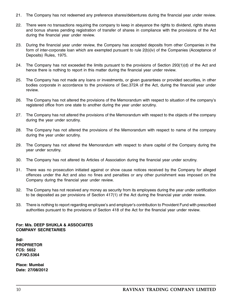- 21. The Company has not redeemed any preference shares/debentures during the financial year under review.
- 22. There were no transactions requiring the company to keep in abeyance the rights to dividend, rights shares and bonus shares pending registration of transfer of shares in compliance with the provisions of the Act during the financial year under review.
- 23. During the financial year under review, the Company has accepted deposits from other Companies in the form of inter-corporate loan which are exempted pursuant to rule 2(b)(iv) of the Companies (Acceptance of Deposits) Rules, 1975.
- 24. The Company has not exceeded the limits pursuant to the provisions of Section 293(1)(d) of the Act and hence there is nothing to report in this matter during the financial year under review.
- 25. The Company has not made any loans or investments, or given guarantees or provided securities, in other bodies corporate in accordance to the provisions of Sec.372A of the Act, during the financial year under review.
- 26. The Company has not altered the provisions of the Memorandum with respect to situation of the company's registered office from one state to another during the year under scrutiny.
- 27. The Company has not altered the provisions of the Memorandum with respect to the objects of the company during the year under scrutiny.
- 28. The Company has not altered the provisions of the Memorandum with respect to name of the company during the year under scrutiny.
- 29. The Company has not altered the Memorandum with respect to share capital of the Company during the year under scrutiny.
- 30. The Company has not altered its Articles of Association during the financial year under scrutiny.
- 31. There was no prosecution initiated against or show cause notices received by the Company for alleged offences under the Act and also no fines and penalties or any other punishment was imposed on the Company during the financial year under review.
- 32. The Company has not received any money as security from its employees during the year under certification to be deposited as per provisions of Section 417(1) of the Act during the financial year under review.
- 33. There is nothing to report regarding employee's and employer's contribution to Provident Fund with prescribed authorities pursuant to the provisions of Section 418 of the Act for the financial year under review.

#### For: M/s. DEEP SHUKLA & ASSOCIATES COMPANY SECRETARIES

Sd/- PROPRIETOR FCS: 5652 C.P.NO.5364

Place: Mumbai Date: 27/08/2012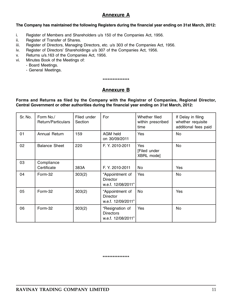# Annexure A

#### The Company has maintained the following Registers during the financial year ending on 31st March, 2012:

- i. Register of Members and Shareholders u/s 150 of the Companies Act, 1956.
- ii. Register of Transfer of Shares.
- iii. Register of Directors, Managing Directors, etc. u/s 303 of the Companies Act, 1956.
- iv. Register of Directors' Shareholdings u/s 307 of the Companies Act, 1956.
- v. Returns u/s.163 of the Companies Act, 1956.
- vi. Minutes Book of the Meetings of:
	- Board Meetings.
	- General Meetings.

\*\*\*\*\*\*\*\*\*\*\*\*\*\*\*\*

# Annexure B

Forms and Returns as filed by the Company with the Registrar of Companies, Regional Director, Central Government or other authorities during the financial year ending on 31st March, 2012:

| Sr. No. | Form No./<br>Return/Particulars | Filed under<br>Section | For                                                       | Whether filed<br>within prescribed<br>time | If Delay in filing<br>whether requisite<br>additional fees paid |
|---------|---------------------------------|------------------------|-----------------------------------------------------------|--------------------------------------------|-----------------------------------------------------------------|
| 01      | Annual Return                   | 159                    | AGM held<br>on 30/09/2011                                 | Yes                                        | No                                                              |
| 02      | <b>Balance Sheet</b>            | 220                    | F. Y. 2010-2011                                           | Yes<br>[Filed under<br>XBRL mode]          | No                                                              |
| 03      | Compliance<br>Certificate       | 383A                   | F. Y. 2010-2011                                           | No                                         | Yes                                                             |
| 04      | Form-32                         | 303(2)                 | "Appointment of<br><b>Director</b><br>w.e.f. 12/08/2011"  | Yes                                        | No                                                              |
| 05      | Form-32                         | 303(2)                 | "Appointment of<br><b>Director</b><br>w.e.f. 12/09/2011"  | No                                         | Yes                                                             |
| 06      | Form-32                         | 303(2)                 | "Resignation of<br><b>Directors</b><br>w.e.f. 12/08/2011" | Yes                                        | No                                                              |

\*\*\*\*\*\*\*\*\*\*\*\*\*\*\*\*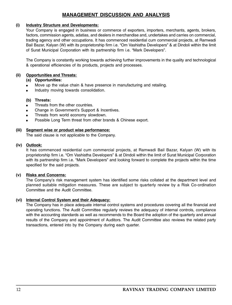# MANAGEMENT DISCUSSION AND ANALYSIS

#### (i) Industry Structure and Developments:

Your Company is engaged in business or commerce of exporters, importers, merchants, agents, brokers, factors, commission agents, adatias, and dealers in merchandise and, undertakes and carries on commercial, trading agency and other occupations. It has commenced residential cum commercial projects, at Ramwadi Bail Bazar, Kalyan (W) with its proprietorship firm i.e. "Om Vashistha Developers" & at Dindoli within the limit of Surat Municipal Corporation with its partnership firm i.e. "Mark Developers".

The Company is constantly working towards achieving further improvements in the quality and technological & operational efficiencies of its products, projects and processes.

#### (ii) Opportunities and Threats:

#### (a) Opportunities:

- Move up the value chain & have presence in manufacturing and retailing.
- Industry moving towards consolidation.

#### (b) Threats:

- Threats from the other countries.
- Change in Government's Support & Incentives.
- Threats from world economy slowdown.
- Possible Long Term threat from other brands & Chinese export.

#### (iii) Segment wise or product wise performance:

The said clause is not applicable to the Company.

#### (iv) Outlook:

It has commenced residential cum commercial projects, at Ramwadi Bail Bazar, Kalyan (W) with its proprietorship firm i.e. "Om Vashistha Developers" & at Dindoli within the limit of Surat Municipal Corporation with its partnership firm i.e. "Mark Developers" and looking forward to complete the projects within the time specified for the said projects.

#### (v) Risks and Concerns:

The Company's risk management system has identified some risks collated at the department level and planned suitable mitigation measures. These are subject to quarterly review by a Risk Co-ordination Committee and the Audit Committee.

#### (vi) Internal Control System and their Adequacy:

The Company has in place adequate internal control systems and procedures covering all the financial and operating functions. The Audit Committee regularly reviews the adequacy of internal controls, compliance with the accounting standards as well as recommends to the Board the adoption of the quarterly and annual results of the Company and appointment of Auditors. The Audit Committee also reviews the related party transactions, entered into by the Company during each quarter.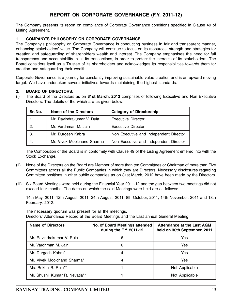# REPORT ON CORPORATE GOVERNANCE (F.Y. 2011-12)

The Company presents its report on compliance of Corporate Governance conditions specified in Clause 49 of Listing Agreement.

#### 1. COMPANY'S PHILOSOPHY ON CORPORATE GOVERNANCE

The Company's philosophy on Corporate Governance is conducting business in fair and transparent manner, enhancing stakeholders' value. The Company will continue to focus on its resources, strength and strategies for creation and safeguarding of shareholders wealth and interest. The Company emphasises the need for full transparency and accountability in all its transactions, in order to protect the interests of its stakeholders. The Board considers itself as a Trustee of its shareholders and acknowledges its responsibilities towards them for creation and safeguarding their wealth.

Corporate Governance is a journey for constantly improving sustainable value creation and is an upward moving target. We have undertaken several initiatives towards maintaining the highest standards.

#### 2. BOARD OF DIRECTORS:

(i) The Board of the Directors as on 31st March, 2012 comprises of following Executive and Non Executive Directors. The details of the which are as given below:

| Sr. No. | Name of the Directors      | <b>Category of Directorship</b>        |
|---------|----------------------------|----------------------------------------|
|         | Mr. Ravindrakumar V. Ruja  | Executive Director                     |
| 2.      | Mr. Vardhman M. Jain       | Executive Director                     |
| З.      | Mr. Durgesh Kabra          | Non Executive and Independent Director |
|         | Mr. Vivek Moolchand Sharma | Non Executive and Independent Director |

The Composition of the Board is in conformity with Clause 49 of the Listing Agreement entered into with the Stock Exchange.

- (ii) None of the Directors on the Board are Member of more than ten Committees or Chairman of more than Five Committees across all the Public Companies in which they are Directors. Necessary disclosures regarding Committee positions in other public companies as on 31st March, 2012 have been made by the Directors.
- (iii) Six Board Meetings were held during the Financial Year 2011-12 and the gap between two meetings did not exceed four months. The dates on which the said Meetings were held are as follows:

14th May, 2011, 12th August, 2011, 24th August, 2011, 8th October, 2011, 14th November, 2011 and 13th February, 2012.

The necessary quorum was present for all the meetings. Directors' Attendance Record at the Board Meetings and the Last annual General Meeting

| <b>Name of Directors</b>       | No. of Board Meetings attended<br>during the F.Y. 2011-12 | Attendance at the Last AGM<br>held on 30th September, 2011 |
|--------------------------------|-----------------------------------------------------------|------------------------------------------------------------|
| Mr. Ravindrakumar V. Ruja      | 6                                                         | Yes                                                        |
| Mr. Vardhman M. Jain           | 6                                                         | Yes                                                        |
| Mr. Durgesh Kabra*             |                                                           | Yes                                                        |
| Mr. Vivek Moolchand Sharma*    |                                                           | Yes                                                        |
| Ms. Rekha R. Ruja**            |                                                           | Not Applicable                                             |
| Mr. Shushil Kumar R. Nevatia** |                                                           | Not Applicable                                             |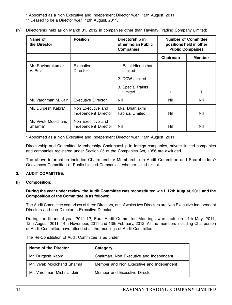\* Appointed as a Non Executive and Independent Director w.e.f. 12th August, 2011.

- \*\* Ceased to be a Director w.e.f. 12th August, 2011.
- (iv) Directorship held as on March 31, 2012 in companies other than Ravinay Trading Company Limited:

| Name of<br>the Director        | <b>Position</b>                           | Directorship in<br>other Indian Public<br><b>Companies</b> | <b>Public Companies</b> | <b>Number of Committee</b><br>positions held in other |
|--------------------------------|-------------------------------------------|------------------------------------------------------------|-------------------------|-------------------------------------------------------|
|                                |                                           |                                                            | Chairman                | <b>Member</b>                                         |
| Mr. Ravindrakumar<br>V. Ruia   | Executive<br>Director                     | 1. Bajaj Hindusthan<br>Limited                             |                         |                                                       |
|                                |                                           | 2. DCW Limited                                             |                         |                                                       |
|                                |                                           | 3. Special Paints<br>Limited                               | 1                       |                                                       |
| Mr. Vardhman M. Jain           | Executive Director                        | Nil                                                        | Nil                     | Nil                                                   |
| Mr. Durgesh Kabra*             | Non Executive and<br>Independent Director | M/s. Dhanlaxmi<br><b>Fabrics Limited</b>                   | Nil                     | Nil                                                   |
| Mr. Vivek Moolchand<br>Sharma* | Non Executive and<br>Independent Director | Nil                                                        | Nil                     | Nil                                                   |

\* Appointed as a Non Executive and Independent Director w.e.f. 12th August, 2011.

Directorship and Committee Membership/ Chairmanship in foreign companies, private limited companies and companies registered under Section 25 of the Companies Act, 1956 are excluded.

The above information includes Chairmanship/ Membership in Audit Committee and Shareholders'/ Grievances Committee of Public Limited Companies, whether listed or not.

#### 3. AUDIT COMMITTEE:

#### (i) Composition:

During the year under review, the Audit Committee was reconstituted w.e.f. 12th August, 2011 and the Composition of the Committee is as follows:

The Audit Committee comprises of three Directors, out of which two Directors are Non Executive Independent Directors and one Director is Executive Director.

During the financial year 2011-12, Four Audit Committee Meetings were held on 14th May, 2011; 12th August, 2011; 14th November, 2011 and 13th February, 2012. All the members including Chairperson of Audit Committee have attended all the meetings of Audit Committee.

|  | The Re-Constitution of Audit Committee is as under: |  |  |  |  |  |  |
|--|-----------------------------------------------------|--|--|--|--|--|--|
|--|-----------------------------------------------------|--|--|--|--|--|--|

| Name of the Director        | Category                                 |
|-----------------------------|------------------------------------------|
| Mr. Durgesh Kabra           | Chairman, Non Executive and Independent  |
| Mr. Vivek Moolchand Sharma  | Member and Non Executive and Independent |
| Mr. Vardhman Mishrilal Jain | Member and Executive Director            |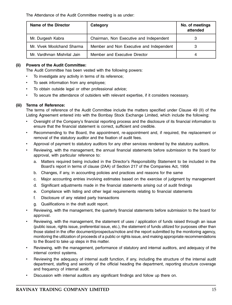The Attendance of the Audit Committee meeting is as under:

| Name of the Director        | Category                                 | No. of meetings<br>attended |
|-----------------------------|------------------------------------------|-----------------------------|
| Mr. Durgesh Kabra           | Chairman, Non Executive and Independent  |                             |
| Mr. Vivek Moolchand Sharma  | Member and Non Executive and Independent |                             |
| Mr. Vardhman Mishrilal Jain | Member and Executive Director            |                             |

#### (ii) Powers of the Audit Committee:

The Audit Committee has been vested with the following powers:

- To investigate any activity in terms of its reference;
- To seek information from any employee;
- To obtain outside legal or other professional advice;
- To secure the attendance of outsiders with relevant expertise, if it considers necessary.

#### (iii) Terms of Reference:

The terms of reference of the Audit Committee include the matters specified under Clause 49 (II) of the Listing Agreement entered into with the Bombay Stock Exchange Limited, which include the following:

- Oversight of the Company's financial reporting process and the disclosure of its financial information to ensure that the financial statement is correct, sufficient and credible.
- Recommending to the Board, the appointment, re-appointment and, if required, the replacement or removal of the statutory auditor and the fixation of audit fees.
- Approval of payment to statutory auditors for any other services rendered by the statutory auditors.
- Reviewing, with the management, the annual financial statements before submission to the board for approval, with particular reference to:
	- a. Matters required being included in the Director's Responsibility Statement to be included in the Board's report in terms of clause (2AA) of Section 217 of the Companies Act, 1956
	- b. Changes, if any, in accounting policies and practices and reasons for the same
	- c. Major accounting entries involving estimates based on the exercise of judgment by management
	- d. Significant adjustments made in the financial statements arising out of audit findings
	- e. Compliance with listing and other legal requirements relating to financial statements
	- f. Disclosure of any related party transactions
	- g. Qualifications in the draft audit report.
- Reviewing, with the management, the quarterly financial statements before submission to the board for approval.
- Reviewing, with the management, the statement of uses / application of funds raised through an issue (public issue, rights issue, preferential issue, etc.), the statement of funds utilized for purposes other than those stated in the offer document/prospectus/notice and the report submitted by the monitoring agency, monitoring the utilization of proceeds of a public or rights issue, and making appropriate recommendations to the Board to take up steps in this matter.
- Reviewing, with the management, performance of statutory and internal auditors, and adequacy of the internal control systems.
- Reviewing the adequacy of internal audit function, if any, including the structure of the internal audit department, staffing and seniority of the official heading the department, reporting structure coverage and frequency of internal audit.
- Discussion with internal auditors any significant findings and follow up there on.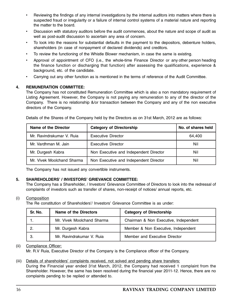- Reviewing the findings of any internal investigations by the internal auditors into matters where there is suspected fraud or irregularity or a failure of internal control systems of a material nature and reporting the matter to the board.
- Discussion with statutory auditors before the audit commences, about the nature and scope of audit as well as post-audit discussion to ascertain any area of concern.
- To look into the reasons for substantial defaults in the payment to the depositors, debenture holders, shareholders (in case of nonpayment of declared dividends) and creditors.
- To review the functioning of the Whistle Blower mechanism, in case the same is existing.
- Approval of appointment of CFO (i.e., the whole-time Finance Director or any other person heading the finance function or discharging that function) after assessing the qualifications, experience & background, etc. of the candidate.
- Carrying out any other function as is mentioned in the terms of reference of the Audit Committee.

#### 4. REMUNERATION COMMITTEE:

The Company has not constituted Remuneration Committee which is also a non mandatory requirement of Listing Agreement. However, the Company is not paying any remuneration to any of the director of the Company. There is no relationship &/or transaction between the Company and any of the non executive directors of the Company.

| Name of the Director       | <b>Category of Directorship</b>        | No. of shares held |
|----------------------------|----------------------------------------|--------------------|
| Mr. Ravindrakumar V. Ruja  | Executive Director                     | 64.400             |
| Mr. Vardhman M. Jain       | Executive Director                     | Nil                |
| Mr. Durgesh Kabra          | Non Executive and Independent Director | Nil                |
| Mr. Vivek Moolchand Sharma | Non Executive and Independent Director | Nil                |

Details of the Shares of the Company held by the Directors as on 31st March, 2012 are as follows:

The Company has not issued any convertible instruments.

#### 5. SHAREHOLDERS' / INVESTORS' GRIEVANCE COMMITTEE:

The Company has a Shareholder, / Investors' Grievance Committee of Directors to look into the redressal of complaints of investors such as transfer of shares, non-receipt of notices/ annual reports, etc.

#### (i) Composition

The Re constitution of Shareholders'/ Investors' Grievance Committee is as under:

| Sr. No. | Name of the Directors      | <b>Category of Directorship</b>       |
|---------|----------------------------|---------------------------------------|
|         | Mr. Vivek Moolchand Sharma | Chairman & Non Executive, Independent |
|         | Mr. Durgesh Kabra          | Member & Non Executive, Independent   |
|         | Mr. Ravindrakumar V. Ruja  | Member and Executive Director         |

#### (ii) Compliance Officer:

Mr. R.V Ruia, Executive Director of the Company is the Compliance officer of the Company.

#### (iii) Details of shareholders' complaints received, not solved and pending share transfers:

During the Financial year ended 31st March, 2012, the Company had received 1 complaint from the Shareholder. However, the same has been resolved during the financial year 2011-12. Hence, there are no complaints pending to be replied or attended to.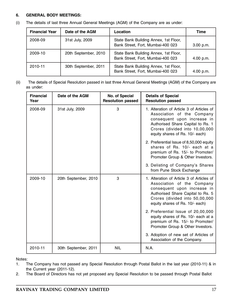#### 6. GENERAL BODY MEETINGS:

(i) The details of last three Annual General Meetings (AGM) of the Company are as under:

| <b>Financial Year</b> | Date of the AGM      | Location                                                                   | Time      |
|-----------------------|----------------------|----------------------------------------------------------------------------|-----------|
| 2008-09               | 31st July, 2009      | State Bank Building Annex, 1st Floor,<br>Bank Street, Fort, Mumbai-400 023 | 3.00 p.m. |
| 2009-10               | 20th September, 2010 | State Bank Building Annex, 1st Floor,<br>Bank Street, Fort, Mumbai-400 023 | 4.00 p.m. |
| 2010-11               | 30th September, 2011 | State Bank Building Annex, 1st Floor,<br>Bank Street, Fort, Mumbai-400 023 | 4.00 p.m. |

(ii) The details of Special Resolution passed in last three Annual General Meetings (AGM) of the Company are as under:

| <b>Financial</b><br>Year | Date of the AGM      | No. of Special<br><b>Resolution passed</b> | <b>Details of Special</b><br><b>Resolution passed</b>                                                                                                                                                            |
|--------------------------|----------------------|--------------------------------------------|------------------------------------------------------------------------------------------------------------------------------------------------------------------------------------------------------------------|
| 2008-09                  | 31st July, 2009      | 3                                          | 1. Alteration of Article 3 of Articles of<br>Association of the Company<br>consequent upon increase in<br>Authorised Share Capital to Rs. 1<br>Crores (divided into 10,00,000<br>equity shares of Rs. 10/- each) |
|                          |                      |                                            | 2. Preferential Issue of 8,50,000 equity<br>shares of Rs. 10/- each at a<br>premium of Rs. 15/- to Promoter/<br>Promoter Group & Other Investors.                                                                |
|                          |                      |                                            | 3. Delisting of Company's Shares<br>from Pune Stock Exchange                                                                                                                                                     |
| 2009-10                  | 20th September, 2010 | 3                                          | 1. Alteration of Article 3 of Articles of<br>Association of the Company<br>consequent upon increase in<br>Authorised Share Capital to Rs. 5<br>Crores (divided into 50,00,000<br>equity shares of Rs. 10/- each) |
|                          |                      |                                            | 2. Preferential Issue of 20,00,000<br>equity shares of Rs. 10/- each at a<br>premium of Rs. 15/- to Promoter/<br>Promoter Group & Other Investors.                                                               |
|                          |                      |                                            | 3. Adoption of new set of Articles of<br>Association of the Company.                                                                                                                                             |
| 2010-11                  | 30th September, 2011 | <b>NIL</b>                                 | N.A.                                                                                                                                                                                                             |

Notes:

- 1. The Company has not passed any Special Resolution through Postal Ballot in the last year (2010-11) & in the Current year (2011-12).
- 2. The Board of Directors has not yet proposed any Special Resolution to be passed through Postal Ballot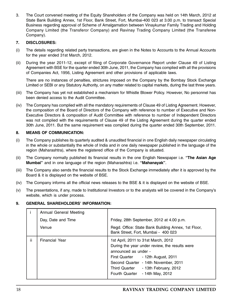3. The Court convened meeting of the Equity Shareholders of the Company was held on 14th March, 2012 at State Bank Building Annex, 1st Floor, Bank Street, Fort, Mumbai-400 023 at 3.00 p.m. to transact Special Business regarding approval of Scheme of Amalgamation between Vinaykumar Family Trading and Holding Company Limited (the Transferor Company) and Ravinay Trading Company Limited (the Transferee Company).

#### 7. DISCLOSURES:

- (i) The details regarding related party transactions, are given in the Notes to Accounts to the Annual Accounts for the year ended 31st March, 2012.
- (ii) During the year 2011-12, except of filing of Corporate Governance Report under Clause 49 of Listing Agreement with BSE for the quarter ended 30th June, 2011, the Company has complied with all the provisions of Companies Act, 1956, Listing Agreement and other provisions of applicable laws.

There are no instances of penalties, strictures imposed on the Company by the Bombay Stock Exchange Limited or SEBI or any Statutory Authority, on any matter related to capital markets, during the last three years.

- (iii) The Company has yet not established a mechanism for Whistle Blower Policy. However, No personnel has been denied access to the Audit Committee.
- (iv) The Company has complied with all the mandatory requirements of Clause 49 of Listing Agreement. However, the composition of the Board of Directors of the Company with reference to number of Executive and Non-Executive Directors & composition of Audit Committee with reference to number of Independent Directors was not complied with the requirements of Clause 49 of the Listing Agreement during the quarter ended 30th June, 2011. But the same requirement was complied during the quarter ended 30th September, 2011.

#### 8. MEANS OF COMMUNICATION:

- (i) The Company publishes its quarterly audited & unaudited financial in one English daily newspaper circulating in the whole or substantially the whole of India and in one daily newspaper published in the language of the region (Maharashtra), where the registered office of the Company is situated.
- (ii) The Company normally published its financial results in the one English Newspaper i.e. "The Asian Age Mumbai" and in one language of the region (Maharashtra) i.e. "Mahanayak".
- (iii) The Company also sends the financial results to the Stock Exchange immediately after it is approved by the Board & it is displayed on the website of BSE.
- (iv) The Company informs all the official news releases to the BSE & it is displayed on the website of BSE.
- (v) The presentations, if any, made to Institutional Investors or to the analysts will be covered in the Company's website, which is under process.

#### 9. GENERAL SHAREHOLDERS' INFORMATION:

|     | Annual General Meeting |                                                                                                                                                                                                                                                                         |  |  |
|-----|------------------------|-------------------------------------------------------------------------------------------------------------------------------------------------------------------------------------------------------------------------------------------------------------------------|--|--|
|     | Day, Date and Time     | Friday, 28th September, 2012 at 4.00 p.m.                                                                                                                                                                                                                               |  |  |
|     | Venue                  | Regd. Office: State Bank Building Annex, 1st Floor,<br>Bank Street, Fort, Mumbai - 400 023                                                                                                                                                                              |  |  |
| ii. | Financial Year         | 1st April, 2011 to 31st March, 2012<br>During the year under review, the results were<br>announced as under -<br>First Quarter - 12th August, 2011<br>Second Quarter - 14th November, 2011<br>Third Quarter - 13th February, 2012<br>Fourth Quarter<br>- 14th May, 2012 |  |  |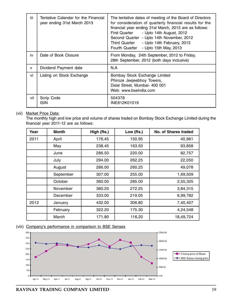| iii          | Tentative Calendar for the Financial<br>year ending 31st March 2013 | The tentative dates of meeting of the Board of Directors<br>for consideration of quarterly financial results for the<br>financial year ending 31st March, 2013 are as follows:<br>First Quarter<br>- Upto 14th August, 2012<br>Second Quarter - Upto 14th November, 2012<br>Third Quarter<br>- Upto 14th February, 2013<br>Fourth Quarter<br>- Upto 15th May, 2013 |
|--------------|---------------------------------------------------------------------|--------------------------------------------------------------------------------------------------------------------------------------------------------------------------------------------------------------------------------------------------------------------------------------------------------------------------------------------------------------------|
| iv           | Date of Book Closure                                                | From Monday, 24th September, 2012 to Friday,<br>28th September, 2012 (both days inclusive)                                                                                                                                                                                                                                                                         |
| $\mathsf{v}$ | Dividend Payment date                                               | N.A                                                                                                                                                                                                                                                                                                                                                                |
| vi           | Listing on Stock Exchange                                           | Bombay Stock Exchange Limited<br>Phiroze Jeejeebhoy Towers,<br>Dalal Street, Mumbai- 400 001<br>Web: www.bseindia.com                                                                                                                                                                                                                                              |
| vii          | Scrip Code<br>ISIN                                                  | 504378<br>INE812K01019                                                                                                                                                                                                                                                                                                                                             |

#### (vii) Market Price Data:

The monthly high and low price and volume of shares traded on Bombay Stock Exchange Limited during the financial year 2011-12 are as follows:

| Year | Month     | High (Rs.) | Low (Rs.) | No. of Shares traded |
|------|-----------|------------|-----------|----------------------|
| 2011 | April     | 176.45     | 150.95    | 40,961               |
|      | May       | 238.45     | 163.50    | 93,858               |
|      | June      | 286.50     | 220.00    | 82,757               |
|      | July      | 294.00     | 262.25    | 22,050               |
|      | August    | 286.00     | 260.25    | 49,078               |
|      | September | 307.00     | 255.00    | 1,69,509             |
|      | October   | 360.00     | 285.00    | 2,55,325             |
|      | November  | 380.20     | 272.25    | 3,84,315             |
|      | December  | 333.00     | 219.05    | 6,99,782             |
| 2012 | January   | 432.00     | 306.80    | 7,40,407             |
|      | February  | 322.20     | 175.30    | 4,24,548             |
|      | March     | 171.80     | 116.20    | 18,49,724            |

#### (viii) Company's performance in comparison to BSE Sensex

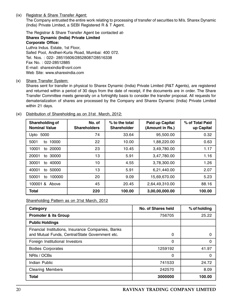(ix) Registrar & Share Transfer Agent:

The Company entrusted the entire work relating to processing of transfer of securities to M/s. Sharex Dynamic (India) Private Limited, a SEBI Registered R & T Agent.

The Registrar & Share Transfer Agent be contacted at-Sharex Dynamic (India) Private Limited Corporate Office: Luthra Indus. Estate, 1st Floor, Safed Pool, Andheri-Kurla Road, Mumbai: 400 072. Tel. Nos. : 022- 28515606/28528087/28516338 Fax No. : 022-28512885 E-mail: sharexindia@vsnl.com Web Site: www.sharexindia.com

(x) Share Transfer System:

Shares sent for transfer in physical to Sharex Dynamic (India) Private Limited (R&T Agents), are registered and returned within a period of 30 days from the date of receipt, if the documents are in order. The Share Transfer Committee meets generally on a fortnightly basis to consider the transfer proposal. All requests for dematerialization of shares are processed by the Company and Sharex Dynamic (India) Private Limited within 21 days.

| Shareholding of<br><b>Nominal Value</b> | No. of<br><b>Shareholders</b> | % to the total<br><b>Shareholder</b> | Paid up Capital<br>(Amount in Rs.) | % of Total Paid<br>up Capital |
|-----------------------------------------|-------------------------------|--------------------------------------|------------------------------------|-------------------------------|
| 5000<br>Upto                            | 74                            | 33.64                                | 95.500.00                          | 0.32                          |
| 10000<br>5001<br>to                     | 22                            | 10.00                                | 1,88,220.00                        | 0.63                          |
| 10001<br>to 20000                       | 23                            | 10.45                                | 3,49,780.00                        | 1.17                          |
| 20001<br>30000<br>to                    | 13                            | 5.91                                 | 3,47,780.00                        | 1.16                          |
| 30001<br>40000<br>to                    | 10                            | 4.55                                 | 3,78,300.00                        | 1.26                          |
| 40001<br>50000<br>to                    | 13                            | 5.91                                 | 6,21,440.00                        | 2.07                          |
| 50001<br>100000<br>to                   | 20                            | 9.09                                 | 15,69,670.00                       | 5.23                          |
| 100001&<br>Above                        | 45                            | 20.45                                | 2,64,49,310.00                     | 88.16                         |
| <b>Total</b>                            | 220                           | 100.00                               | 3,00,00,000.00                     | 100.00                        |

(xi) Distribution of Shareholding as on 31st March, 2012:

Shareholding Pattern as on 31st March, 2012

| Category                                                                                              | No. of Shares held | % of holding |
|-------------------------------------------------------------------------------------------------------|--------------------|--------------|
| <b>Promoter &amp; its Group</b>                                                                       | 756705             | 25.22        |
| <b>Public Holdings</b>                                                                                |                    |              |
| Financial Institutions, Insurance Companies, Banks<br>and Mutual Funds, Central/State Government etc. | 0                  | 0            |
| Foreign Institutional Investors                                                                       | 0                  | 0            |
| <b>Bodies Corporates</b>                                                                              | 1259192            | 41.97        |
| NRIs / OCBs                                                                                           | 0                  | 0            |
| Indian Public                                                                                         | 741533             | 24.72        |
| <b>Clearing Members</b>                                                                               | 242570             | 8.09         |
| Total                                                                                                 | 3000000            | 100.00       |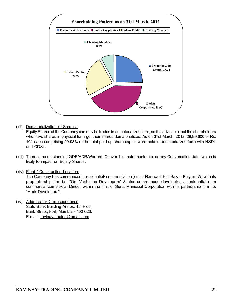

(xii) Dematerialization of Shares :

Equity Shares of the Company can only be traded in dematerialized form, so it is advisable that the shareholders who have shares in physical form get their shares dematerialized. As on 31st March, 2012, 29,99,600 of Rs. 10/- each comprising 99.98% of the total paid up share capital were held in dematerialized form with NSDL and CDSL.

- (xiii) There is no outstanding GDR/ADR/Warrant, Convertible Instruments etc. or any Conversation date, which is likely to impact on Equity Shares.
- (xiv) Plant / Construction Location:

The Company has commenced a residential/ commercial project at Ramwadi Bail Bazar, Kalyan (W) with its proprietorship firm i.e. "Om Vashistha Developers" & also commenced developing a residential cum commercial complex at Dindoli within the limit of Surat Municipal Corporation with its partnership firm i.e. "Mark Developers".

(xv) Address for Correspondence State Bank Building Annex, 1st Floor, Bank Street, Fort, Mumbai - 400 023. E-mail: ravinay.trading@gmail.com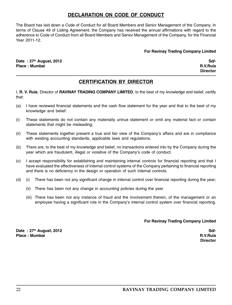# DECLARATION ON CODE OF CONDUCT

The Board has laid down a Code of Conduct for all Board Members and Senior Management of the Company. In terms of Clause 49 of Listing Agreement, the Company has received the annual affirmations with regard to the adherence to Code of Conduct from all Board Members and Senior Management of the Company, for the Financial Year 2011-12.

#### For Ravinay Trading Company Limited

Date : 27th August, 2012 Sd/- Place : Mumbai R.V.Ruia

**Director** 

# CERTIFICATION BY DIRECTOR

I, R. V. Ruia, Director of RAVINAY TRADING COMPANY LIMITED, to the best of my knowledge and belief, certify that:

- (a) I have reviewed financial statements and the cash flow statement for the year and that to the best of my knowledge and belief:
- (i) These statements do not contain any materially untrue statement or omit any material fact or contain statements that might be misleading;
- (ii) These statements together present a true and fair view of the Company's affairs and are in compliance with existing accounting standards, applicable laws and regulations.
- (b) There are, to the best of my knowledge and belief, no transactions entered into by the Company during the year which are fraudulent, illegal or violative of the Company's code of conduct.
- (c) I accept responsibility for establishing and maintaining internal controls for financial reporting and that I have evaluated the effectiveness of internal control systems of the Company pertaining to financial reporting and there is no deficiency in the design or operation of such internal controls.
- (d) (i) There has been not any significant change in internal control over financial reporting during the year;
	- (ii) There has been not any change in accounting policies during the year
	- (iii) There has been not any instance of fraud and the involvement therein, of the management or an employee having a significant role in the Company's internal control system over financial reporting.

#### For Ravinay Trading Company Limited

Date : 27th August, 2012<br>Place : Mumbai Sd<sup>/-</sup><br>Place : Mumbai Sd<sup>/-</sup> Place : Mumbai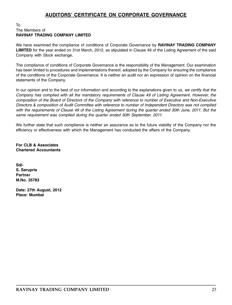# AUDITORS' CERTIFICATE ON CORPORATE GOVERNANCE

#### To The Members of RAVINAY TRADING COMPANY LIMITED

We have examined the compliance of conditions of Corporate Governance by RAVINAY TRADING COMPANY LIMITED for the year ended on 31st March, 2012, as stipulated in Clause 49 of the Listing Agreement of the said Company with Stock exchange.

The compliance of conditions of Corporate Governance is the responsibility of the Management. Our examination has been limited to procedures and implementations thereof, adopted by the Company for ensuring the compliance of the conditions of the Corporate Governance. It is neither an audit nor an expression of opinion on the financial statements of the Company.

In our opinion and to the best of our information and according to the explanations given to us, we certify that the Company has complied with all the mandatory requirements of Clause 49 of Listing Agreement. However, the composition of the Board of Directors of the Company with reference to number of Executive and Non-Executive Directors & composition of Audit Committee with reference to number of Independent Directors was not complied with the requirements of Clause 49 of the Listing Agreement during the quarter ended 30th June, 2011. But the same requirement was complied during the quarter ended 30th September, 2011.

We further state that such compliance is neither an assurance as to the future viability of the Company nor the efficiency or effectiveness with which the Management has conducted the affairs of the Company.

For CLB & Associates Chartered Accountants

Sd/- S. Sarupria **Partner** M.No. 35783

Date: 27th August, 2012 Place: Mumbai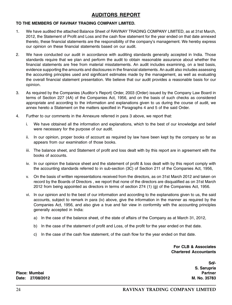# AUDITORS REPORT

#### TO THE MEMBERS OF RAVINAY TRADING COMPANY LIMITED.

- 1. We have audited the attached Balance Sheet of RAVINAY TRADING COMPANY LIMITED, as at 31st March, 2012, the Statement of Profit and Loss and the cash flow statement for the year ended on that date annexed thereto, these financial statements are the responsibility of the company's management. We hereby express our opinion on these financial statements based on our audit.
- 2. We have conducted our audit in accordance with auditing standards generally accepted in India. Those standards require that we plan and perform the audit to obtain reasonable assurance about whether the financial statements are free from material misstatements. An audit includes examining, on a test basis, evidence supporting the amounts and disclosures in the financial statements. An audit also includes assessing the accounting principles used and significant estimates made by the management, as well as evaluating the overall financial statement presentation. We believe that our audit provides a reasonable basis for our opinion.
- 3. As required by the Companies (Auditor's Report) Order, 2003 (Order) issued by the Company Law Board in terms of Section 227 (4A) of the Companies Act, 1956, and on the basis of such checks as considered appropriate and according to the information and explanations given to us during the course of audit, we annex hereto a Statement on the matters specified in Paragraphs 4 and 5 of the said Order.
- 4. Further to our comments in the Annexure referred in para 3 above, we report that:
	- i. We have obtained all the information and explanations, which to the best of our knowledge and belief were necessary for the purpose of our audit.
	- ii. In our opinion, proper books of account as required by law have been kept by the company so far as appears from our examination of those books.
	- iii. The balance sheet, and Statement of profit and loss dealt with by this report are in agreement with the books of accounts.
	- iv. In our opinion the balance sheet and the statement of profit & loss dealt with by this report comply with the accounting standards referred to in sub-section (3C) of Section 211 of the Companies Act, 1956,
	- v. On the basis of written representations received from the directors, as on 31st March 2012 and taken on record by the Boards of Directors , we report that none of the directors are disqualified as on 31st March 2012 from being appointed as directors in terms of section 274 (1) (g) of the Companies Act, 1956.
	- vi. In our opinion and to the best of our information and according to the explanations given to us, the said accounts, subject to remark in para (iv) above, give the information in the manner as required by the Companies Act, 1956, and also give a true and fair view in conformity with the accounting principles generally accepted in India:
		- a) In the case of the balance sheet, of the state of affairs of the Company as at March 31, 2012,
		- b) In the case of the statement of profit and Loss, of the profit for the year ended on that date.
		- c) In the case of the cash flow statement, of the cash flow for the year ended on that date.

For CLB & Associates Chartered Accountants

> Sd/- S. Sarupria

Place: Mumbai Partner Date: 27/08/2012 M. No. 35783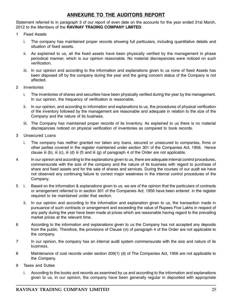# ANNEXURE TO THE AUDITORS REPORT

Statement referred to in paragraph 3 of our report of even date on the accounts for the year ended 31st March, 2012 to the Members of the RAVINAY TRADING COMPANY LIMITED.

- 1 Fixed Assets
	- i. The company has maintained proper records showing full particulars, including quantitative details and situation of fixed assets.
	- ii. As explained to us, all the fixed assets have been physically verified by the management in phase periodical manner, which is our opinion reasonable. No material discrepancies were noticed on such verification.
	- iii. In our opinion and according to the information and explanations given to us none of fixed Assets has been disposed off by the company during the year and the going concern status of the Company is not affected.
- 2 Inventories
	- i. The inventories of shares and securities have been physically verified during the year by the management. In our opinion, the frequency of verification is reasonable.
	- ii. In our opinion, and according to information and explanations to us, the procedures of physical verification of the inventory followed by the management are reasonable and adequate in relation to the size of the Company and the nature of its business.
	- iii. The Company has maintained proper records of its inventory. As explained to us there is no material discrepancies noticed on physical verification of inventories as compared to book records.
- 3 Unsecured Loans
	- i. The company has neither granted nor taken any loans, secured or unsecured to companies, firms or other parties covered in the register maintained under section 301 of the Companies Act, 1956. Hence clause iii (b), iii (c), iii (d) iii (f) and iii (g) of paragraph 4 of the Order are not applicable.
- 4 In our opinion and according to the explanations given to us, there are adequate internal control procedures, commensurate with the size of the company and the nature of its business with regard to purchase of share and fixed assets and for the sale of shares and services. During the courses of our audit we have not observed any continuing failure to correct major weakness in the internal control procedures of the Company.
- 5 i. Based on the information & explanations given to us, we are of the opinion that the particulars of contracts or arrangement referred to in section 301 of the Companies Act, 1956 have been entered in the register required to be maintained under that section.
	- ii. In our opinion and according to the information and explanation given to us, the transaction made in pursuance of such contracts or arrangement and exceeding the value of Rupees Five Lakhs in respect of any party during the year have been made at prices which are reasonable having regard to the prevailing market prices at the relevant time.
- 6 According to the information and explanations given to us the Company has not accepted any deposits from the public. Therefore, the provisions of Clause (vi) of paragraph 4 of the Order are not applicable to the company.
- 7 In our opinion, the company has an internal audit system commensurate with the size and nature of its business.
- 8 Maintenance of cost records under section 209(1) (d) of The Companies Act, 1956 are not applicable to the Company.
- 9 Taxes and Duties
	- i. According to the books and records as examined by us and according to the information and explanations given to us, in our opinion, the company have been generally regular in deposited with appropriate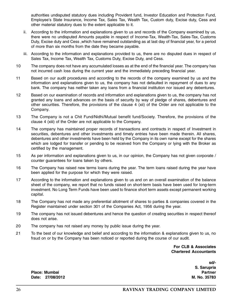authorities undisputed statutory dues including Provident fund, Investor Education and Protection Fund, Employee's State Insurance, Income Tax, Sales Tax, Wealth Tax, Custom duty, Excise duty, Cess and other material statutory dues to the extent applicable to it.

- ii. According to the information and explanations given to us and records of the Company examined by us, there were no undisputed Amounts payable in respect of Income-Tax, Wealth-Tax, Sales-Tax, Customs Duty, Excise duty and Cess ,which have remained outstanding as at last day of financial year, for a period of more than six months from the date they became payable.
- iii. According to the information and explanations provided to us, there are no disputed dues in respect of Sales Tax, Income Tax, Wealth Tax, Customs Duty, Excise Duty, and Cess.
- 10 The company does not have any accumulated losses as at the end of the financial year. The company has not incurred cash loss during the current year and the immediately preceding financial year.
- 11 Based on our audit procedures and according to the records of the company examined by us and the information and explanations given to us, the company has not defaulted in repayment of dues to any bank. The company has neither taken any loans from a financial institution nor issued any debentures.
- 12 Based on our examination of records and information and explanations given to us, the company has not granted any loans and advances on the basis of security by way of pledge of shares, debentures and other securities. Therefore, the provisions of the clause 4 (xii) of the Order are not applicable to the Company.
- 13 The Company is not a Chit Fund/Nidhi/Mutual benefit fund/Society. Therefore, the provisions of the clause 4 (xiii) of the Order are not applicable to the Company.
- 14 The company has maintained proper records of transactions and contracts in respect of Investment in securities, debentures and other investments and timely entries have been made therein. All shares, debentures and other investments have been held by the Company in its own name except for the shares which are lodged for transfer or pending to be received from the Company or lying with the Broker as certified by the management.
- 15 As per information and explanations given to us, in our opinion, the Company has not given corporate / counter guarantees for loans taken by others.
- 16 The Company has raised new terms loans during the year. The term loans raised during the year have been applied for the purpose for which they were raised.
- 17 According to the information and explanations given to us and on an overall examination of the balance sheet of the company, we report that no funds raised on short-term basis have been used for long-term investment. No Long Term Funds have been used to finance short term assets except permanent working capital.
- 18 The Company has not made any preferential allotment of shares to parties & companies covered in the Register maintained under section 301 of the Companies Act, 1956 during the year.
- 19 The company has not issued debentures and hence the question of creating securities in respect thereof does not arise.
- 20 The company has not raised any money by public issue during the year.
- 21 To the best of our knowledge and belief and according to the information & explanations given to us, no fraud on or by the Company has been noticed or reported during the course of our audit.

For CLB & Associates Chartered Accountants

> sd/- S. Sarupria

Place: Mumbai Partner Date: 27/08/2012 M. No. 35783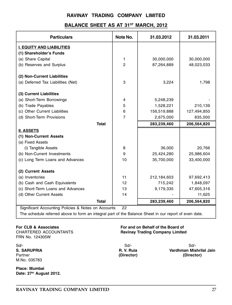# BALANCE SHEET AS AT 31<sup>ST</sup> MARCH, 2012

| <b>Particulars</b>                 | Note No.       | 31.03.2012  | 31.03.2011  |
|------------------------------------|----------------|-------------|-------------|
| <b>I. EQUITY AND LIABILITIES</b>   |                |             |             |
| (1) Shareholder's Funds            |                |             |             |
| (a) Share Capital                  | 1              | 30,000,000  | 30,000,000  |
| (b) Reserves and Surplus           | $\overline{c}$ | 87,264,889  | 48,023,033  |
| (2) Non-Current Liabilities        |                |             |             |
| (a) Deferred Tax Liabilities (Net) | 3              | 3,224       | 1,798       |
| (3) Current Liabilities            |                |             |             |
| (a) Short-Term Borrowings          | 4              | 5,248,239   |             |
| (b) Trade Payables                 | 5              | 1,528,221   | 210,139     |
| (c) Other Current Liabilities      | 6              | 156,519,888 | 127,494,850 |
| (d) Short-Term Provisions          | 7              | 2,675,000   | 835,000     |
|                                    |                |             |             |
| <b>Total</b>                       |                | 283,239,460 | 206,564,820 |
| <b>II. ASSETS</b>                  |                |             |             |
| (1) Non-Current Assets             |                |             |             |
| (a) Fixed Assets                   |                |             |             |
| (i) Tangible Assets                | 8              | 36,000      | 20,766      |
| (b) Non-Current Investments        | 9              | 25,424,280  | 25,986,604  |
| (c) Long Term Loans and Advances   | 10             | 35,700,000  | 33,400,000  |
| (2) Current Assets                 |                |             |             |
| (a) Inventories                    | 11             | 212,184,603 | 97,692,413  |
| (b) Cash and Cash Equivalents      | 12             | 715,242     | 1,848,097   |
| (c) Short-Term Loans and Advances  | 13             | 9,179,335   | 47,605,316  |
| (d) Other Current Assets           | 14             |             | 11,625      |
| <b>Total</b>                       |                | 283,239,460 | 206,564,820 |

The schedule referred above to form an integral part of the Balance Sheet in our report of even date.

FRN No. 124305W

M.No. 035783

Place: Mumbai Date: 27<sup>th</sup> August 2012.

#### For CLB & Associates For and on Behalf of the Board of Ravinay Trading Company Limited

Sd/- Sd/- Sd/- S. SARUPRIA R. V. Ruia Vardhman Mishrilal Jain Partner (Director) (Director)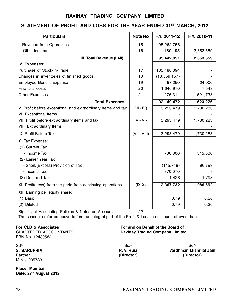# STATEMENT OF PROFIT AND LOSS FOR THE YEAR ENDED 31ST MARCH, 2012

| <b>Particulars</b>                                                                                                                                           | <b>Note No</b> | F.Y. 2011-12   | F.Y. 2010-11 |
|--------------------------------------------------------------------------------------------------------------------------------------------------------------|----------------|----------------|--------------|
| I. Revenue from Operations                                                                                                                                   | 15             | 95,262,756     |              |
| II. Other Income                                                                                                                                             | 16             | 180,195        | 2,353,559    |
| III. Total Revenue (I +II)                                                                                                                                   |                | 95,442,951     | 2,353,559    |
| <b>IV. Expenses:</b>                                                                                                                                         |                |                |              |
| Purchase of Stock-in-Trade                                                                                                                                   | 17             | 103,488,094    |              |
| Changes in inventories of finished goods.                                                                                                                    | 18             | (13, 359, 157) |              |
| Employee Benefit Expense                                                                                                                                     | 19             | 97,250         | 24,000       |
| Financial costs                                                                                                                                              | 20             | 1,646,970      | 7,543        |
| Other Expenses                                                                                                                                               | 21             | 276,314        | 591,733      |
| <b>Total Expenses</b>                                                                                                                                        |                | 92,149,472     | 623,276      |
| V. Profit before exceptional and extraordinary items and tax                                                                                                 | $(III - IV)$   | 3,293,479      | 1,730,283    |
| VI. Exceptional Items                                                                                                                                        |                |                |              |
| VII. Profit before extraordinary items and tax                                                                                                               | $(V - VI)$     | 3,293,479      | 1,730,283    |
| VIII. Extraordinary Items                                                                                                                                    |                |                |              |
| IX. Profit Before Tax                                                                                                                                        | $(VII - VIII)$ | 3,293,479      | 1,730,283    |
| X. Tax Expense:                                                                                                                                              |                |                |              |
| (1) Current Tax                                                                                                                                              |                |                |              |
| - Income Tax                                                                                                                                                 |                | 700,000        | 545,000      |
| (2) Earlier Year Tax                                                                                                                                         |                |                |              |
| - Short/(Excess) Provision of Tax                                                                                                                            |                | (145, 749)     | 96,793       |
| - Income Tax                                                                                                                                                 |                | 370,070        |              |
| (3) Deferred Tax                                                                                                                                             |                | 1,426          | 1,798        |
| XI. Profit(Loss) from the perid from continuing operations                                                                                                   | $(IX-X)$       | 2,367,732      | 1,086,692    |
| XII. Earning per equity share:                                                                                                                               |                |                |              |
| (1) Basic                                                                                                                                                    |                | 0.79           | 0.36         |
| (2) Diluted                                                                                                                                                  |                | 0.79           | 0.36         |
| Significant Accounting Policies & Notes on Accounts<br>The schedule referred above to form an integral part of the Profit & Loss in our report of even date. | 22             |                |              |

FRN No. 124305W

Partner (Director) M.No. 035783

Place: Mumbai Date: 27<sup>th</sup> August 2012.

#### For CLB & Associates For and on Behalf of the Board of Ravinay Trading Company Limited

Sd/- Sd/- Sd/- S. SARUPRIA R. V. Ruia Vardhman Mishrilal Jain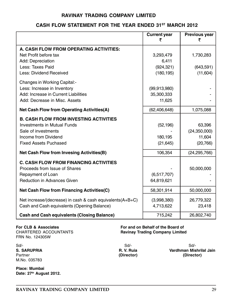# CASH FLOW STATEMENT FOR THE YEAR ENDED 31ST MARCH 2012

|                                                           | <b>Current year</b> | <b>Previous year</b> |
|-----------------------------------------------------------|---------------------|----------------------|
|                                                           | ₹                   | ₹                    |
| A. CASH FLOW FROM OPERATING ACTIVITIES:                   |                     |                      |
| Net Profit before tax                                     | 3,293,479           | 1,730,283            |
| Add: Depreciation                                         | 6,411               |                      |
| Less: Taxes Paid                                          | (924, 321)          | (643, 591)           |
| Less: Dividend Received                                   | (180, 195)          | (11,604)             |
| Changes in Working Capital:-                              |                     |                      |
| Less: Increase in Inventory                               | (99, 913, 980)      |                      |
| Add: Increase in Current Liabilities                      | 35,300,333          |                      |
| Add: Decrease in Misc. Assets                             | 11,625              |                      |
| <b>Net Cash Flow from Operating Activities(A)</b>         | (62, 406, 648)      | 1,075,088            |
| <b>B. CASH FLOW FROM INVESTING ACTIVITIES</b>             |                     |                      |
| <b>Investments in Mutual Funds</b>                        | (52, 196)           | 63,396               |
| Sale of investments                                       |                     | (24, 350, 000)       |
| Income from Dividend                                      | 180,195             | 11,604               |
| <b>Fixed Assets Puchased</b>                              | (21, 645)           | (20, 766)            |
| <b>Net Cash Flow from Invesing Activities(B)</b>          | 106,354             | (24, 295, 766)       |
| <b>C. CASH FLOW FROM FINANCING ACTIVITIES</b>             |                     |                      |
| Proceeds from Issue of Shares                             |                     | 50,000,000           |
| Repayment of Loan                                         | (6,517,707)         |                      |
| <b>Reduction in Advances Given</b>                        | 64,819,621          |                      |
| <b>Net Cash Flow from Financing Activities(C)</b>         | 58,301,914          | 50,000,000           |
| Net increase/(decrease) in cash & cash equivalents(A+B+C) | (3,998,380)         | 26,779,322           |
| Cash and Cash equivalents (Opening Balance)               | 4,713,622           | 23,418               |
| <b>Cash and Cash equivalents (Closing Balance)</b>        | 715,242             | 26,802,740           |

FRN No. 124305W

For CLB & Associates For and on Behalf of the Board of Ravinay Trading Company Limited

Sd/- Sd/- Sd/- M.No. 035783

Place: Mumbai Date: 27<sup>th</sup> August 2012. (Director)

S. SARUPRIA R. V. Ruia Vardhman Mishrilal Jain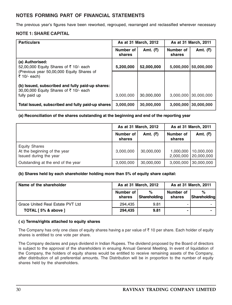# NOTES FORMING PART OF FINANCIAL STATEMENTS

The previous year's figures have been reworked, regrouped, rearranged and reclassified wherever necessary

#### NOTE 1: SHARE CAPITAL

| <b>Particulars</b>                                                                         | As at 31 March, 2012 |            | As at 31 March, 2011 |            |
|--------------------------------------------------------------------------------------------|----------------------|------------|----------------------|------------|
|                                                                                            | Number of<br>shares  | Amt. (₹)   | Number of<br>shares  | Amt. $(5)$ |
| (a) Authorised:<br>52,00,000 Equity Shares of ₹ 10/- each                                  | 5,200,000            | 52,000,000 | 5,000,000            | 50,000,000 |
| (Previous year 50,00,000 Equity Shares of<br>$\bar{z}$ 10/- each)                          |                      |            |                      |            |
| (b) Issued, subscribed and fully paid-up shares:<br>30,00,000 Equity Shares of ₹ 10/- each |                      |            |                      |            |
| fully paid up                                                                              | 3,000,000            | 30,000,000 | 3,000,000            | 30,000,000 |
| Total Issued, subscribed and fully paid-up shares                                          | 3,000,000            | 30,000,000 | 3,000,000            | 30,000,000 |

#### (a) Reconciliation of the shares outstanding at the beginning and end of the reporting year

|                                                                                |                     | As at 31 March, 2012 | As at 31 March, 2011   |                          |
|--------------------------------------------------------------------------------|---------------------|----------------------|------------------------|--------------------------|
|                                                                                | Number of<br>shares | Amt. (₹)             | Number of<br>shares    | Amt. $(3)$               |
| <b>Equity Shares</b><br>At the beginning of the year<br>Issued during the year | 3,000,000           | 30,000,000           | 1,000,000<br>2,000,000 | 10,000,000<br>20,000,000 |
| Outstanding at the end of the year                                             | 3,000,000           | 30,000,000           | 3,000,000              | 30,000,000               |

#### (b) Shares held by each shareholder holding more than 5% of equity share capital:

| Name of the shareholder          |                     | As at 31 March, 2012 |                     | As at 31 March, 2011 |
|----------------------------------|---------------------|----------------------|---------------------|----------------------|
|                                  | Number of<br>shares | %<br>Shareholding    | Number of<br>shares | %<br>Shareholding    |
| Grace United Real Estate PVT Ltd | 294.435             | 9.81                 |                     |                      |
| TOTAL [5% & above ]              | 294.435             | 9.81                 |                     |                      |

#### ( c) Terms/rights attached to equity shares

The Company has only one class of equity shares having a par value of  $\bar{\tau}$  10 per share. Each holder of equity shares is entitled to one vote per share.

The Company declares and pays dividend in Indian Rupees. The dividend proposed by the Board of directors is subject to the approval of the shareholders in ensuing Annual General Meeting. In event of liquidation of the Company, the holders of equity shares would be entitled to receive remaining assets of the Company, after distribution of all preferential amounts. The Distribution will be in proportion to the number of equity shares held by the shareholders.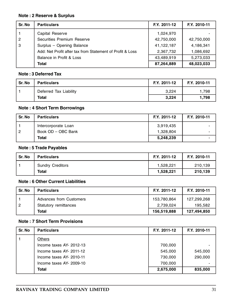#### Note : 2 Reserve & Surplus

| Sr. No | <b>Particulars</b>                                        | F.Y. 2011-12 | F.Y. 2010-11 |
|--------|-----------------------------------------------------------|--------------|--------------|
|        | Capital Reserve                                           | 1,024,970    |              |
| l 2    | Securities Premium Reserve                                | 42,750,000   | 42,750,000   |
| l 3    | Surplus - Opening Balance                                 | 41,122,187   | 4,186,341    |
|        | Add: Net Profit after tax from Statement of Profit & Loss | 2,367,732    | 1,086,692    |
|        | Balance in Profit & Loss                                  | 43,489,919   | 5,273,033    |
|        | Total                                                     | 87,264,889   | 48,023,033   |

#### Note : 3 Deferred Tax

| Sr. No | <b>Particulars</b>     | F.Y. 2011-12 | F.Y. 2010-11 |
|--------|------------------------|--------------|--------------|
|        | Deferred Tax Liability | 3.224        | 1.798        |
|        | Total                  | 3,224        | 1.798        |

# Note : 4 Short Term Borrowings

| Sr. No | <b>Particulars</b>  | F.Y. 2011-12 | F.Y. 2010-11             |
|--------|---------------------|--------------|--------------------------|
|        | Intercorporate Loan | 3,919,435    | $\overline{\phantom{0}}$ |
| 2      | Book OD - OBC Bank  | 1,328,804    | $\overline{\phantom{0}}$ |
|        | Total               | 5,248,239    | -                        |

# Note : 5 Trade Payables

| Sr. No | <b>Particulars</b>      | F.Y. 2011-12 | F.Y. 2010-11 |
|--------|-------------------------|--------------|--------------|
|        | <b>Sundry Creditors</b> | 1.528.221    | 210.139      |
|        | Total                   | 1.528.221    | 210.139      |

# Note : 6 Other Current Liabilities

| Sr. No         | <b>Particulars</b>      | F.Y. 2011-12 | F.Y. 2010-11 |
|----------------|-------------------------|--------------|--------------|
|                | Advances from Customers | 153,780,864  | 127.299.268  |
| $\overline{2}$ | Statutory remittances   | 2,739,024    | 195.582      |
|                | Total                   | 156,519,888  | 127,494,850  |

# Note : 7 Short Term Provisions

| Sr. No | <b>Particulars</b>       | F.Y. 2011-12 | F.Y. 2010-11 |
|--------|--------------------------|--------------|--------------|
|        | <b>Others</b>            |              |              |
|        | Income taxes AY- 2012-13 | 700,000      |              |
|        | Income taxes AY- 2011-12 | 545.000      | 545,000      |
|        | Income taxes AY- 2010-11 | 730,000      | 290,000      |
|        | Income taxes AY- 2009-10 | 700.000      |              |
|        | Total                    | 2,675,000    | 835,000      |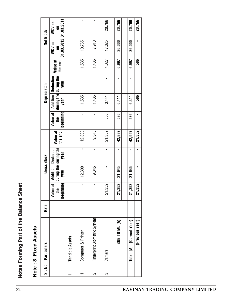| i<br>i<br>֚֚֡֡ |
|----------------|
|                |
| ٢              |
| ;<br>ă         |
| י<br>J         |
|                |

| u<br>U |
|--------|
| t<br>ğ |
| ထ<br>۰ |
|        |
|        |

| Sr. No | Particulars                  | Rate |                            |                | <b>Gross Block</b>                                  |                     |                              |       | Depreciaton                                         |                     |                           | <b>Net Block</b>          |
|--------|------------------------------|------|----------------------------|----------------|-----------------------------------------------------|---------------------|------------------------------|-------|-----------------------------------------------------|---------------------|---------------------------|---------------------------|
|        |                              |      | beginning<br>Value at<br>£ | year           | during the during the<br>Addition Deduction<br>year | Value at<br>the end | beginning<br>Value at<br>the | year  | during the during the<br>Addition Deduction<br>year | Value at<br>the end | 31.03.2012<br>WDV as<br>ã | 31.03.2011<br>WDV as<br>ã |
|        | Tangible Assets              |      |                            |                |                                                     |                     |                              |       |                                                     |                     |                           |                           |
| ↽      | Computer & Printer           |      | $\mathbf{I}$               | 12,300         | $\mathbf{r}$                                        | 12,300              | $\mathbf{r}$                 | 1,535 |                                                     | 1,535               | 10,765                    |                           |
| $\sim$ | Fingerprint Biometric System |      | $\mathbf{I}$               | 9,345          | $\mathbf{I}$                                        | 9,345               | $\mathbf{I}$                 | 1,435 |                                                     | 1,435               | 7,910                     |                           |
| က      | Camera                       |      | 21,352                     | $\blacksquare$ | $\mathbf{I}$                                        | 21,352              | 586                          | 3,441 | $\blacksquare$                                      | 4,027               | 17,325                    | 20,766                    |
|        | SUB TOTAL (A)                |      | 21,352                     | 21,645         | $\blacksquare$                                      | 42,997              | 586                          | 6,411 | $\blacksquare$                                      | 6,997               | 36,000                    | 20,766                    |
|        | (Current Year)<br>Ξ<br>Total |      | 21,352                     | 21,645         | $\blacksquare$                                      | 42,997              | 586                          | 6,411 | $\mathbf I$                                         | 6,997               | 36,000                    | 20,766                    |
|        | (Previous Year)              |      | 21,352                     | $\blacksquare$ | $\mathbf I$                                         | 21,352              | $\mathbf{I}$                 | 586   |                                                     | 586                 | $\mathbf I$               | 20,766                    |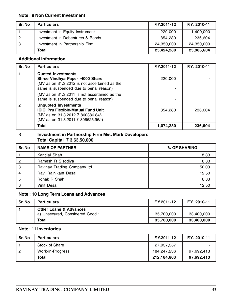#### Note : 9 Non Current Investment

| Sr. No     | <b>Particulars</b>               | F.Y.2011-12 | F.Y. 2010-11 |
|------------|----------------------------------|-------------|--------------|
|            | Investment in Equity Instrument  | 220,000     | 1,400,000    |
| $\sqrt{2}$ | Investment in Debentures & Bonds | 854.280     | 236.604      |
| 3          | Investment in Partnership Firm   | 24,350,000  | 24,350,000   |
|            | Total                            | 25,424,280  | 25,986,604   |

### Additional Information

| Sr. No | <b>Particulars</b>                                                                                                                                      | F.Y.2011-12 | F.Y. 2010-11 |
|--------|---------------------------------------------------------------------------------------------------------------------------------------------------------|-------------|--------------|
|        | <b>Quoted Investments</b><br>Shree Vindhya Paper -4000 Share<br>(MV as on 31.3.2012 is not ascertained as the<br>same is suspended due to penal reason) | 220,000     |              |
|        | (MV as on 31.3.2011 is not ascertained as the<br>same is suspended due to penal reason)                                                                 |             |              |
| 2      | <b>Unquoted Investments</b><br><b>ICICI Pru Flexible-Mutual Fund Unit</b><br>(MV as on 31.3.2012 ₹ 860386.84/-<br>(MV as on 31.3.2011 ₹ 806625.96/-)    | 854.280     | 236.604      |
|        | Total                                                                                                                                                   | 1,074,280   | 236,604      |

### 3 Investment in Partnership Firm M/s. Mark Developers Total Capital ₹ 3,63,50,000

| Sr. No         | <b>NAME OF PARTNER</b>      | % OF SHARING |  |
|----------------|-----------------------------|--------------|--|
|                | Kantilal Shah               | 8.33         |  |
| 2              | Ramesh R Sisodiya           | 8.33         |  |
| 3              | Ravinay Trading Company Itd | 50.00        |  |
| $\overline{4}$ | Ravi Rajnikant Desai        | 12.50        |  |
| 5              | Ronak R Shah                | 8.33         |  |
| 6              | Vinit Desai                 | 12.50        |  |

# Note : 10 Long Term Loans and Advances

| Sr. No | <b>Particulars</b>                                                  | F.Y.2011-12 | F.Y. 2010-11 |
|--------|---------------------------------------------------------------------|-------------|--------------|
|        | <b>Other Loans &amp; Advances</b><br>a) Unsecured, Considered Good: | 35,700,000  | 33,400,000   |
|        | Total                                                               | 35,700,000  | 33,400,000   |

### Note : 11 Inventories

| Sr. No | <b>Particulars</b> | F.Y.2011-12 | F.Y. 2010-11 |
|--------|--------------------|-------------|--------------|
|        | Stock of Share     | 27,937,367  |              |
| -2     | Work-in-Progress   | 184.247.236 | 97,692,413   |
|        | Total              | 212,184,603 | 97,692,413   |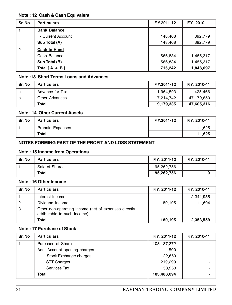### Note : 12 Cash & Cash Equivalent

| Sr. No         | <b>Particulars</b>  | F.Y.2011-12 | F.Y. 2010-11 |
|----------------|---------------------|-------------|--------------|
|                | <b>Bank Balance</b> |             |              |
|                | - Current Account   | 148,408     | 392,779      |
|                | Sub Total (A)       | 148,408     | 392,779      |
| $\overline{2}$ | Cash-in-Hand        |             |              |
|                | Cash Balance        | 566,834     | 1,455,317    |
|                | Sub Total (B)       | 566,834     | 1,455,317    |
|                | Total $[A + B]$     | 715,242     | 1,848,097    |

# Note :13 Short Terms Loans and Advances

| Sr. No | <b>Particulars</b> | F.Y.2011-12 | F.Y. 2010-11 |
|--------|--------------------|-------------|--------------|
| a      | Advance for Tax    | 1,964,593   | 425.466      |
| b      | Other Advances     | 7,214,742   | 47,179,850   |
|        | Total              | 9,179,335   | 47,605,316   |

# Note : 14 Other Current Assets

| Sr. No | <b>Particulars</b>      | F.Y.2011-12              | F.Y. 2010-11 |
|--------|-------------------------|--------------------------|--------------|
|        | <b>Prepaid Expenses</b> | $\overline{\phantom{0}}$ | 11.625       |
|        | <b>Total</b>            |                          | 11.625       |

### NOTES FORMING PART OF THE PROFIT AND LOSS STATEMENT

# Note : 15 Income from Operations

| Sr. No | <b>Particulars</b> | F.Y. 2011-12 | F.Y. 2010-11             |
|--------|--------------------|--------------|--------------------------|
|        | Sale of Shares     | 95,262,756   | $\overline{\phantom{0}}$ |
|        | Total              | 95,262,756   |                          |

#### Note : 16 Other Income

| Sr. No         | <b>Particulars</b>                                                                   | F.Y. 2011-12 | F.Y. 2010-11 |
|----------------|--------------------------------------------------------------------------------------|--------------|--------------|
|                | Interest Income                                                                      |              | 2,341,955    |
| $\overline{2}$ | Dividend Income                                                                      | 180,195      | 11.604       |
| 3              | Other non-operating income (net of expenses directly<br>attributable to such income) | -            |              |
|                | Total                                                                                | 180,195      | 2,353,559    |

# Note : 17 Purchase of Stock

| Sr. No | <b>Particulars</b>           | F.Y. 2011-12 | F.Y. 2010-11             |
|--------|------------------------------|--------------|--------------------------|
|        | Purchase of Share            | 103,187,372  |                          |
|        | Add: Account opening charges | 500          |                          |
|        | Stock Exchange charges       | 22,660       |                          |
|        | <b>STT Charges</b>           | 219,299      |                          |
|        | Services Tax                 | 58,263       | $\overline{\phantom{0}}$ |
|        | Total                        | 103,488,094  |                          |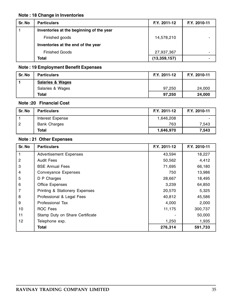# Note : 18 Change in Inventories

| Sr. No | <b>Particulars</b>                       | F.Y. 2011-12 | F.Y. 2010-11 |
|--------|------------------------------------------|--------------|--------------|
|        | Inventories at the beginning of the year |              |              |
|        | Finished goods                           | 14,578,210   |              |
|        | Inventories at the end of the year       |              |              |
|        | <b>Finished Goods</b>                    | 27,937,367   |              |
|        | Total                                    | (13,359,157) |              |

# Note : 19 Employment Benefit Expenses

| Sr. No | <b>Particulars</b>          | F.Y. 2011-12 | F.Y. 2010-11 |
|--------|-----------------------------|--------------|--------------|
|        | <b>Salaries &amp; Wages</b> |              |              |
|        | Salaries & Wages            | 97.250       | 24,000       |
|        | Total                       | 97.250       | 24,000       |

# Note :20 Financial Cost

| Sr. No | <b>Particulars</b>  | F.Y. 2011-12 | F.Y. 2010-11             |
|--------|---------------------|--------------|--------------------------|
|        | Interest Expense    | 1.646.208    | $\overline{\phantom{0}}$ |
| -2     | <b>Bank Charges</b> | 763          | 7.543                    |
|        | Total               | 1,646,970    | 7,543                    |

# Note : 21 Other Expenses

| Sr. No         | <b>Particulars</b>                        | F.Y. 2011-12 | F.Y. 2010-11 |
|----------------|-------------------------------------------|--------------|--------------|
|                | <b>Advertisement Expenses</b>             | 43.594       | 18,227       |
| $\overline{c}$ | Audit Fees                                | 50,562       | 4,412        |
| 3              | <b>BSE Annual Fees</b>                    | 71,695       | 66,180       |
| 4              | Conveyance Expenses                       | 750          | 13,986       |
| 5              | D P Charges                               | 28,667       | 18,495       |
| 6              | <b>Office Expenses</b>                    | 3,239        | 64,850       |
| 7              | <b>Printing &amp; Stationery Expenses</b> | 20,570       | 5,325        |
| 8              | Professional & Legal Fees                 | 40,812       | 45,586       |
| 9              | Professional Tax                          | 4,000        | 2,000        |
| 10             | <b>ROC Fees</b>                           | 11,175       | 300,737      |
| 11             | Stamp Duty on Share Certificate           |              | 50,000       |
| 12             | Telephone exp.                            | 1,250        | 1,935        |
|                | <b>Total</b>                              | 276,314      | 591,733      |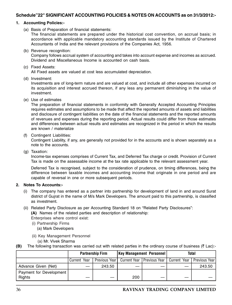#### Schedule"22" SIGNIFICANT ACCOUNTING POLICIES & NOTES ON ACCOUNTS as on 31/3/2012:-

#### 1. Accounting Policies:-

(a) Basis of Preparation of financial statements:

The financial statements are prepared under the historical cost convention, on accrual basis; in accordance with applicable mandatory accounting standards issued by the Institute of Chartered Accountants of India and the relevant provisions of the Companies Act, 1956.

(b) Revenue recognition:

Company follows accrual system of accounting and takes into account expense and incomes as accrued. Dividend and Miscellaneous Income is accounted on cash basis.

(c) Fixed Assets:

All Fixed assets are valued at cost less accumulated depreciation.

(d) Investment:

Investments are of long-term nature and are valued at cost, and include all other expenses incurred on its acquisition and interest accrued thereon, if any less any permanent diminishing in the value of investment.

(e) Use of estimates

The preparation of financial statements in conformity with Generally Accepted Accounting Principles requires estimates and assumptions to be made that affect the reported amounts of assets and liabilities and disclosure of contingent liabilities on the date of the financial statements and the reported amounts of revenues and expenses during the reporting period. Actual results could differ from those estimates and differences between actual results and estimates are recognized in the period in which the results are known / materialize

(f) Contingent Liabilities:

Contingent Liability, if any, are generally not provided for in the accounts and is shown separately as a note to the accounts.

(g) Taxation:

Income-tax expenses comprises of Current Tax, and Deferred Tax charge or credit. Provision of Current Tax is made on the assessable income at the tax rate applicable to the relevant assessment year.

Deferred Tax is recognised, subject to the consideration of prudence, on timing differences, being the difference between taxable incomes and accounting income that originate in one period and are capable of reversal in one or more subsequent periods.

#### 2. Notes To Accounts:-

- (i) The company has entered as a partner into partnership for development of land in and around Surat district of Gujrat in the name of M/s Mark Developers. The amount paid to this partnership, is classified as investment.
- (ii) Related Party Disclosure as per Accounting Standard 18 on "Related Party Disclosures":
	- (A) Names of the related parties and description of relationship:

Enterprises where control exist:

- (i) Partnership Firms
	- (a) Mark Developers
- (ii) Key Management Personnel
	- (a) Mr. Vivek Sharma

**(B)** The following transaction was carried out with related parties in the ordinary course of business ( $\bar{\tau}$  Lac):-

|                                   | <b>Partnership Firm</b> |                 | <b>Key Management Personnel</b> |                              | Total          |                       |
|-----------------------------------|-------------------------|-----------------|---------------------------------|------------------------------|----------------|-----------------------|
|                                   | Current Year            | Previous Year I |                                 | Current Year   Previous Year | l Current Year | <b>Previous Yearl</b> |
| Advance Given (Net)               |                         | 243.50          |                                 |                              |                | 243.50                |
| Payment for Development<br>Rights |                         |                 | 200                             |                              |                |                       |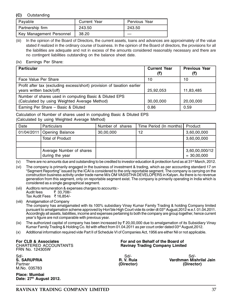#### (C) Outstanding

| Pavable                  | <b>Current Year</b> | Pervious Year |
|--------------------------|---------------------|---------------|
| Partnership firm         | 243.50              | 243.50        |
| Key Management Personnel | 38.20               |               |

(iii) In the opinion of the Board of Directors, the current assets, loans and advances are approximately of the value stated if realized in the ordinary course of business. In the opinion of the Board of directors, the provisions for all the liabilities are adequate and not in excess of the amounts considered reasonably necessary and there are no contingent liabilities outstanding on the balance sheet date.

#### (iv) Earnings Per Share:

| <b>Particular</b>                                                                                       | <b>Current Year</b> | <b>Previous Year</b><br>(₹) |
|---------------------------------------------------------------------------------------------------------|---------------------|-----------------------------|
| Face Value Per Share                                                                                    | 10                  | 10                          |
| Profit after tax (excluding excess/short) provision of taxation earlier<br>years written back/(off)     | 25,92,053           | 11,83,485                   |
| Number of shares used in computing Basic & Diluted EPS<br>(Calculated by using Weighted Average Method) | 30,00,000           | 20,00,000                   |
| Earning Per Share - Basic & Diluted                                                                     | 0.86                | 0.59                        |

Calculation of Number of shares used in computing Basic & Diluted EPS (Calculated by using Weighted Average Method)

| Date | <b>Particulars</b>                          | Number of shares | Time Period (In months)   Product |                                 |
|------|---------------------------------------------|------------------|-----------------------------------|---------------------------------|
|      | 01/04/2011 Opening Balance                  | 30,00,000        | 12                                | 3,60,00,000                     |
|      | Total of Product                            |                  |                                   | 3,60,00,000                     |
|      |                                             |                  |                                   |                                 |
|      | Average Number of shares<br>during the year |                  |                                   | 3,60,00,000/12<br>$= 30,00,000$ |

(v) There are no amounts due and outstanding to be credited to investor education & protection fund as at 31<sup>st</sup> March, 2012.

(vi) The company is primarily engaged in the business of investment & trading, which as per accounting standard 17 on "Segment Reporting" issued by the ICAI is considered to the only reportable segment. The company is carrying on the construction business activity under trade name M/s OM VASISTHA DEVELOPERS in Kalyan. As there is no revenue generation from this segment, only on reportable segment exist. The company is primarily operating in India which is considered as a single geographical segment.

(vii) Auditors remuneration & expenses charges to accounts:- ₹ 33,708/-Tax Audit Fees ₹ 16,854/-

(viii) Amalgamation of Company

The company has amalgamated with its 100% subsidiary Vinay Kumar Family Trading & holding Company limited pursuant to amalgamation scheme approved by Hon'ble High Court vide its order dt 03<sup>rd</sup> August,2012 w.e.f. 01.04.2011. Accordingly all assets, liabilities, income and expenses pertaining to both the company are group together, hence current year's figure are not comparable with previous year.

(ix) The authorized capital of company has been increased by  $\bar{\tau}$  20,00,000 due to amalgamation of its Subsidiary Vinay Kumar Family Trading & Holding Co. Itd with effect from 01.04.2011 as per court order dated 03<sup>rd</sup> August, 2012.

(x) Additional information required vide Part II of Schedule VI of Companies Act, 1956 are either Nil or not applicable.

FRN No. 124305W

Sd/- Sd/- Sd/- M.No. 035783

Place: Mumbai Date: 27<sup>th</sup> August 2012.

#### For CLB & Associates<br>CHARTERED ACCOUNTANTS **For a struck and on Behalf of the Board of** Ravinay Trading Company Limited

S. SARUPRIA R. V. Ruia Vardhman Mishrilal Jain Partner (Director) (Director)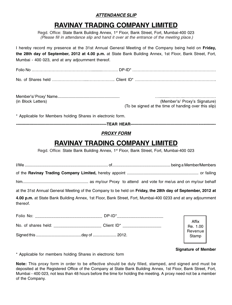# ATTENDANCE SLIP

# RAVINAY TRADING COMPANY LIMITED

Regd. Office: State Bank Building Annex, 1st Floor, Bank Street, Fort, Mumbai-400 023 (Please fill in attendance slip and hand it over at the entrance of the meeting place.)

I hereby record my presence at the 31st Annual General Meeting of the Company being held on **Friday**, the 28th day of September, 2012 at 4.00 p.m. at State Bank Building Annex, 1st Floor, Bank Street, Fort, Mumbai - 400 023, and at any adjournment thereof.

| (in Block Letters) | (Member's/ Proxy's Signature)                        |
|--------------------|------------------------------------------------------|
|                    | (To be signed at the time of handing over this slip) |

\* Applicable for Members holding Shares in electronic form.

-TEAR HEAR—

#### PROXY FORM

# RAVINAY TRADING COMPANY LIMITED

Regd. Office: State Bank Building Annex, 1<sup>st</sup> Floor, Bank Street, Fort, Mumbai-400 023

| at the 31st Annual General Meeting of the Company to be held on Friday, the 28th day of September, 2012 at               |  |                     |  |
|--------------------------------------------------------------------------------------------------------------------------|--|---------------------|--|
| 4.00 p.m. at State Bank Building Annex, 1st Floor, Bank Street, Fort, Mumbai-400 0233 and at any adjournment<br>thereof. |  |                     |  |
|                                                                                                                          |  |                     |  |
|                                                                                                                          |  | Affix<br>Re. $1.00$ |  |
|                                                                                                                          |  | Revenue             |  |

#### Signature of Member

\* Applicable for members holding Shares in electronic form

Note: This proxy form in order to be effective should be duly filled, stamped, and signed and must be deposited at the Registered Office of the Company at State Bank Building Annex, 1st Floor, Bank Street, Fort, Mumbai - 400 023, not less than 48 hours before the time for holding the meeting. A proxy need not be a member of the Company.